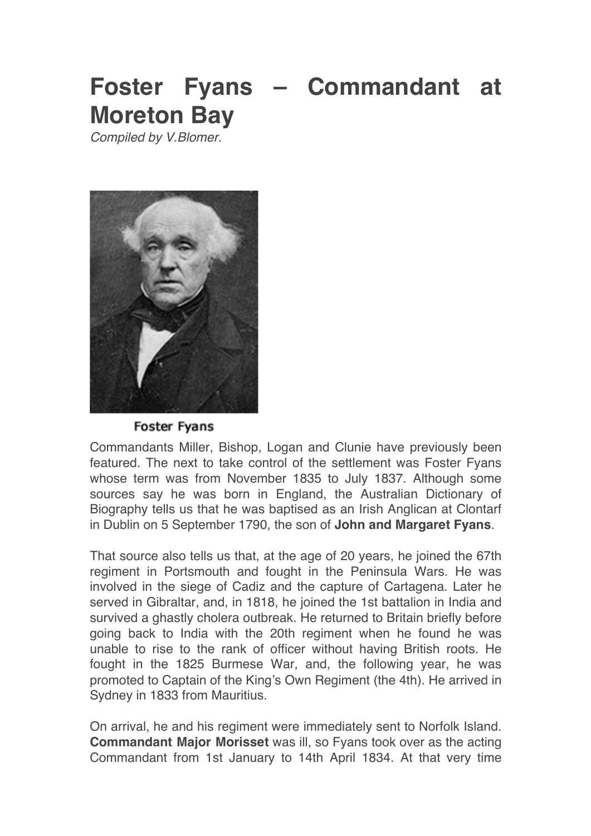# **Foster Fyans – Commandant at Moreton Bay**

*Compiled by V.Blomer.*



Foster Fyans

Commandants Miller, Bishop, Logan and Clunie have previously been featured. The next to take control of the settlement was Foster Fyans whose term was from November 1835 to July 1837. Although some sources say he was born in England, the Australian Dictionary of Biography tells us that he was baptised as an Irish Anglican at Clontarf in Dublin on 5 September 1790, the son of **John and Margaret Fyans**.

That source also tells us that, at the age of 20 years, he joined the 67th regiment in Portsmouth and fought in the Peninsula Wars. He was involved in the siege of Cadiz and the capture of Cartagena. Later he served in Gibraltar, and, in 1818, he joined the 1st battalion in India and survived a ghastly cholera outbreak. He returned to Britain briefly before going back to India with the 20th regiment when he found he was unable to rise to the rank of officer without having British roots. He fought in the 1825 Burmese War, and, the following year, he was promoted to Captain of the King's Own Regiment (the 4th). He arrived in Sydney in 1833 from Mauritius.

On arrival, he and his regiment were immediately sent to Norfolk Island. **Commandant Major Morisset** was ill, so Fyans took over as the acting Commandant from 1st January to 14th April 1834. At that very time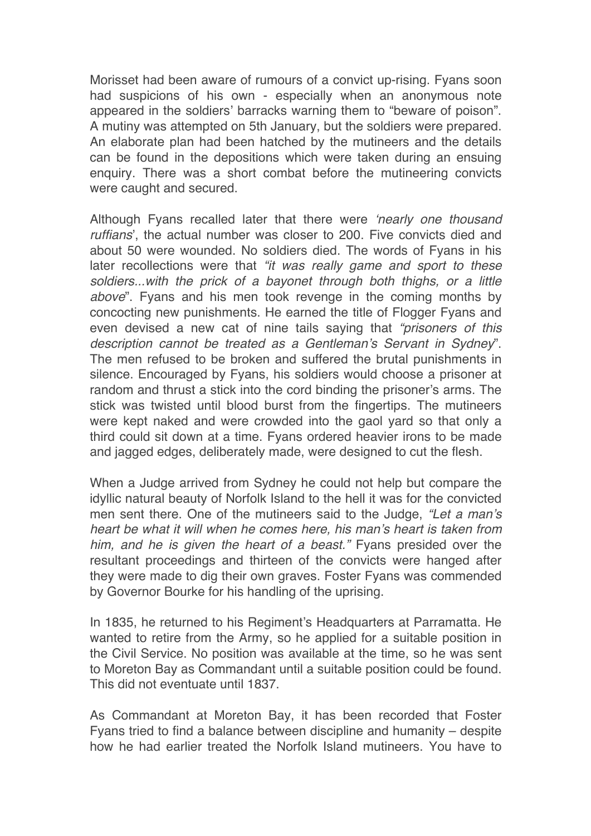Morisset had been aware of rumours of a convict up-rising. Fyans soon had suspicions of his own - especially when an anonymous note appeared in the soldiers' barracks warning them to "beware of poison". A mutiny was attempted on 5th January, but the soldiers were prepared. An elaborate plan had been hatched by the mutineers and the details can be found in the depositions which were taken during an ensuing enquiry. There was a short combat before the mutineering convicts were caught and secured.

Although Fyans recalled later that there were *'nearly one thousand ruffians*', the actual number was closer to 200. Five convicts died and about 50 were wounded. No soldiers died. The words of Fyans in his later recollections were that *"it was really game and sport to these soldiers...with the prick of a bayonet through both thighs, or a little above*". Fyans and his men took revenge in the coming months by concocting new punishments. He earned the title of Flogger Fyans and even devised a new cat of nine tails saying that *"prisoners of this description cannot be treated as a Gentleman's Servant in Sydney*". The men refused to be broken and suffered the brutal punishments in silence. Encouraged by Fyans, his soldiers would choose a prisoner at random and thrust a stick into the cord binding the prisoner's arms. The stick was twisted until blood burst from the fingertips. The mutineers were kept naked and were crowded into the gaol yard so that only a third could sit down at a time. Fyans ordered heavier irons to be made and jagged edges, deliberately made, were designed to cut the flesh.

When a Judge arrived from Sydney he could not help but compare the idyllic natural beauty of Norfolk Island to the hell it was for the convicted men sent there. One of the mutineers said to the Judge, *"Let a man's heart be what it will when he comes here, his man's heart is taken from him, and he is given the heart of a beast."* Fyans presided over the resultant proceedings and thirteen of the convicts were hanged after they were made to dig their own graves. Foster Fyans was commended by Governor Bourke for his handling of the uprising.

In 1835, he returned to his Regiment's Headquarters at Parramatta. He wanted to retire from the Army, so he applied for a suitable position in the Civil Service. No position was available at the time, so he was sent to Moreton Bay as Commandant until a suitable position could be found. This did not eventuate until 1837.

As Commandant at Moreton Bay, it has been recorded that Foster Fyans tried to find a balance between discipline and humanity – despite how he had earlier treated the Norfolk Island mutineers. You have to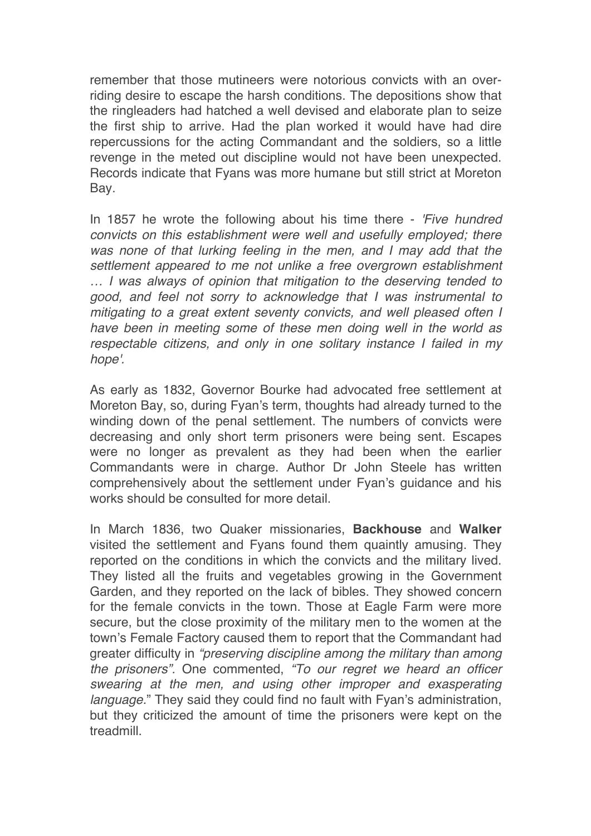remember that those mutineers were notorious convicts with an overriding desire to escape the harsh conditions. The depositions show that the ringleaders had hatched a well devised and elaborate plan to seize the first ship to arrive. Had the plan worked it would have had dire repercussions for the acting Commandant and the soldiers, so a little revenge in the meted out discipline would not have been unexpected. Records indicate that Fyans was more humane but still strict at Moreton Bay.

In 1857 he wrote the following about his time there - *'Five hundred convicts on this establishment were well and usefully employed; there was none of that lurking feeling in the men, and I may add that the settlement appeared to me not unlike a free overgrown establishment … I was always of opinion that mitigation to the deserving tended to good, and feel not sorry to acknowledge that I was instrumental to mitigating to a great extent seventy convicts, and well pleased often I have been in meeting some of these men doing well in the world as respectable citizens, and only in one solitary instance I failed in my hope'.*

As early as 1832, Governor Bourke had advocated free settlement at Moreton Bay, so, during Fyan's term, thoughts had already turned to the winding down of the penal settlement. The numbers of convicts were decreasing and only short term prisoners were being sent. Escapes were no longer as prevalent as they had been when the earlier Commandants were in charge. Author Dr John Steele has written comprehensively about the settlement under Fyan's guidance and his works should be consulted for more detail.

In March 1836, two Quaker missionaries, **Backhouse** and **Walker** visited the settlement and Fyans found them quaintly amusing. They reported on the conditions in which the convicts and the military lived. They listed all the fruits and vegetables growing in the Government Garden, and they reported on the lack of bibles. They showed concern for the female convicts in the town. Those at Eagle Farm were more secure, but the close proximity of the military men to the women at the town's Female Factory caused them to report that the Commandant had greater difficulty in *"preserving discipline among the military than among the prisoners".* One commented, *"To our regret we heard an officer swearing at the men, and using other improper and exasperating language.*" They said they could find no fault with Fyan's administration, but they criticized the amount of time the prisoners were kept on the treadmill.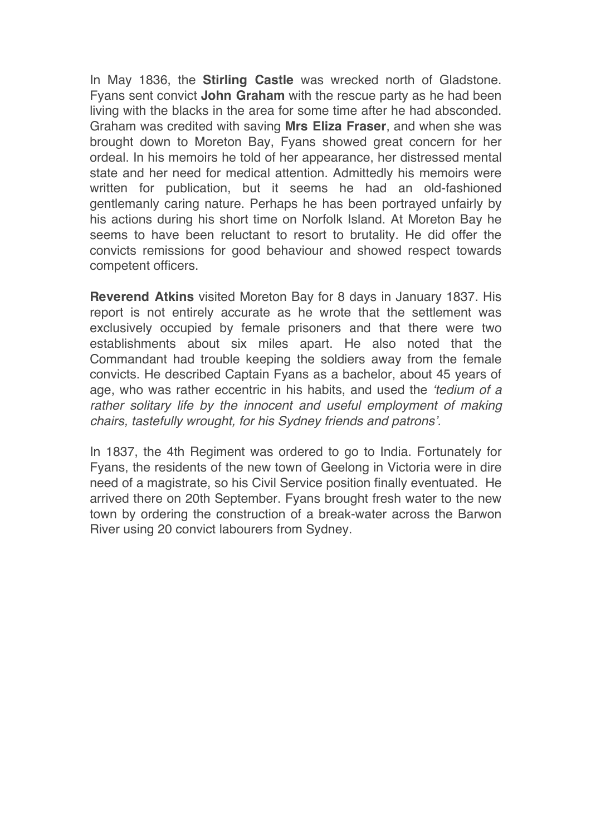In May 1836, the **Stirling Castle** was wrecked north of Gladstone. Fyans sent convict **John Graham** with the rescue party as he had been living with the blacks in the area for some time after he had absconded. Graham was credited with saving **Mrs Eliza Fraser**, and when she was brought down to Moreton Bay, Fyans showed great concern for her ordeal. In his memoirs he told of her appearance, her distressed mental state and her need for medical attention. Admittedly his memoirs were written for publication, but it seems he had an old-fashioned gentlemanly caring nature. Perhaps he has been portrayed unfairly by his actions during his short time on Norfolk Island. At Moreton Bay he seems to have been reluctant to resort to brutality. He did offer the convicts remissions for good behaviour and showed respect towards competent officers.

**Reverend Atkins** visited Moreton Bay for 8 days in January 1837. His report is not entirely accurate as he wrote that the settlement was exclusively occupied by female prisoners and that there were two establishments about six miles apart. He also noted that the Commandant had trouble keeping the soldiers away from the female convicts. He described Captain Fyans as a bachelor, about 45 years of age, who was rather eccentric in his habits, and used the *'tedium of a*  rather solitary life by the innocent and useful employment of making *chairs, tastefully wrought, for his Sydney friends and patrons'.*

In 1837, the 4th Regiment was ordered to go to India. Fortunately for Fyans, the residents of the new town of Geelong in Victoria were in dire need of a magistrate, so his Civil Service position finally eventuated. He arrived there on 20th September. Fyans brought fresh water to the new town by ordering the construction of a break-water across the Barwon River using 20 convict labourers from Sydney.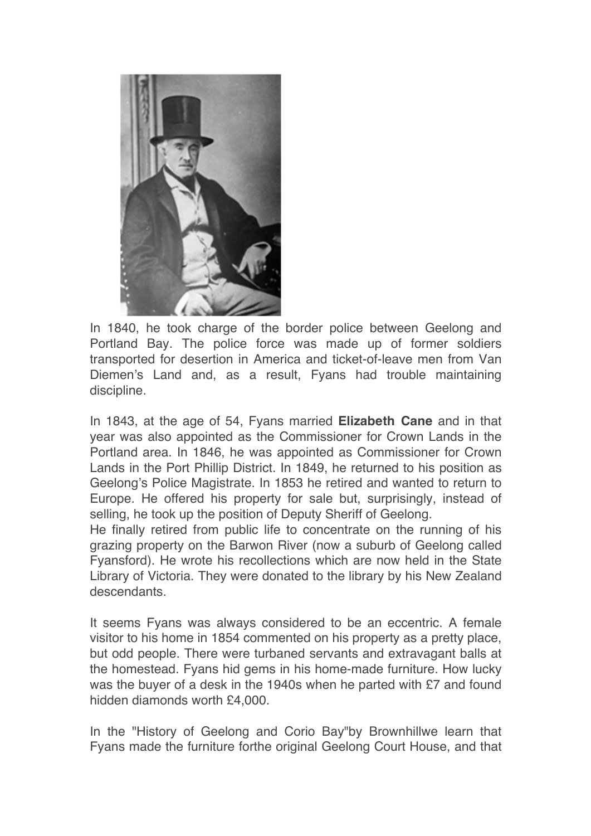

In 1840, he took charge of the border police between Geelong and Portland Bay. The police force was made up of former soldiers transported for desertion in America and ticket-of-leave men from Van Diemen's Land and, as a result, Fyans had trouble maintaining discipline.

In 1843, at the age of 54, Fyans married **Elizabeth Cane** and in that year was also appointed as the Commissioner for Crown Lands in the Portland area. In 1846, he was appointed as Commissioner for Crown Lands in the Port Phillip District. In 1849, he returned to his position as Geelong's Police Magistrate. In 1853 he retired and wanted to return to Europe. He offered his property for sale but, surprisingly, instead of selling, he took up the position of Deputy Sheriff of Geelong.

He finally retired from public life to concentrate on the running of his grazing property on the Barwon River (now a suburb of Geelong called Fyansford). He wrote his recollections which are now held in the State Library of Victoria. They were donated to the library by his New Zealand descendants.

It seems Fyans was always considered to be an eccentric. A female visitor to his home in 1854 commented on his property as a pretty place, but odd people. There were turbaned servants and extravagant balls at the homestead. Fyans hid gems in his home-made furniture. How lucky was the buyer of a desk in the 1940s when he parted with £7 and found hidden diamonds worth £4,000.

In the "History of Geelong and Corio Bay"by Brownhillwe learn that Fyans made the furniture forthe original Geelong Court House, and that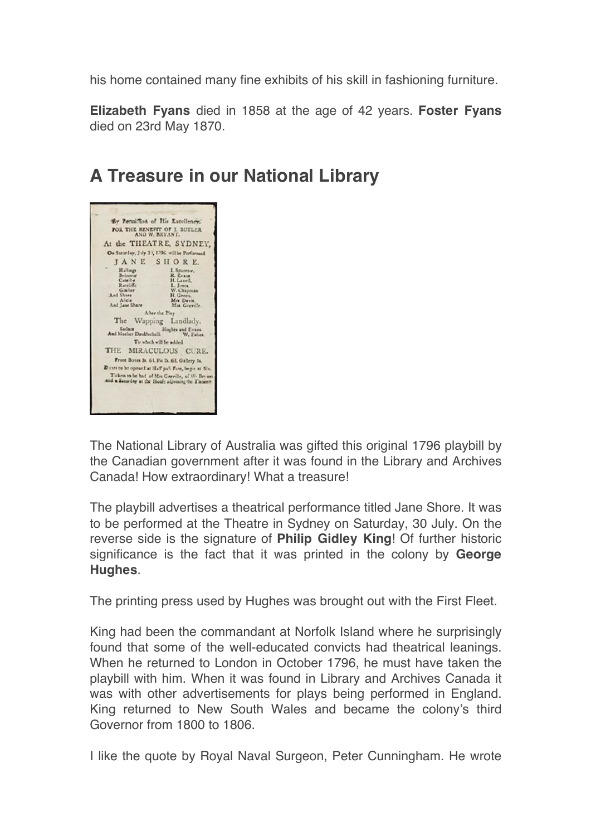his home contained many fine exhibits of his skill in fashioning furniture.

**Elizabeth Fyans** died in 1858 at the age of 42 years. **Foster Fyans** died on 23rd May 1870.

## **A Treasure in our National Library**

| AND W. BRYANT,<br>At the THEATRE, SYDNEY.<br>On Saturlay, July 3), 1796. will be Performed.<br>JANE SHORE.<br>Haltings<br>Belmour<br>Catellie<br>Ratcliffe<br>Glailer<br>And Share | I. Sparrow.<br>R. Evans<br>H. Lavell. |
|------------------------------------------------------------------------------------------------------------------------------------------------------------------------------------|---------------------------------------|
|                                                                                                                                                                                    |                                       |
|                                                                                                                                                                                    |                                       |
|                                                                                                                                                                                    |                                       |
|                                                                                                                                                                                    |                                       |
|                                                                                                                                                                                    |                                       |
|                                                                                                                                                                                    |                                       |
|                                                                                                                                                                                    | L. Jones.                             |
|                                                                                                                                                                                    | W. Chapman                            |
|                                                                                                                                                                                    | H. Green.                             |
| Alicia<br>And Jane Shore                                                                                                                                                           | Mrs Davis.<br>Mrs. Greville.          |
| After the Play                                                                                                                                                                     |                                       |
|                                                                                                                                                                                    |                                       |
| The<br>Wapping Landlady.                                                                                                                                                           |                                       |
| Sailars<br>And Mother Doublechalk                                                                                                                                                  | Hoghes and Evans.<br>W. Foles         |
| To which will be added                                                                                                                                                             |                                       |
| THE<br>MIRACULOUS CURE.                                                                                                                                                            |                                       |
| Front Boxes 3s. 61. Fit 2s. 61. Gallery 1s.                                                                                                                                        |                                       |
| Dance to be opened at Half pall Five, begin at Sle.                                                                                                                                |                                       |
| Tickets to be had of Mrs Greville, of W. Bryant<br>and a Saturday at the House adjoining the Tiscante                                                                              |                                       |

The National Library of Australia was gifted this original 1796 playbill by the Canadian government after it was found in the Library and Archives Canada! How extraordinary! What a treasure!

The playbill advertises a theatrical performance titled Jane Shore. It was to be performed at the Theatre in Sydney on Saturday, 30 July. On the reverse side is the signature of **Philip Gidley King**! Of further historic significance is the fact that it was printed in the colony by **George Hughes**.

The printing press used by Hughes was brought out with the First Fleet.

King had been the commandant at Norfolk Island where he surprisingly found that some of the well-educated convicts had theatrical leanings. When he returned to London in October 1796, he must have taken the playbill with him. When it was found in Library and Archives Canada it was with other advertisements for plays being performed in England. King returned to New South Wales and became the colony's third Governor from 1800 to 1806.

I like the quote by Royal Naval Surgeon, Peter Cunningham. He wrote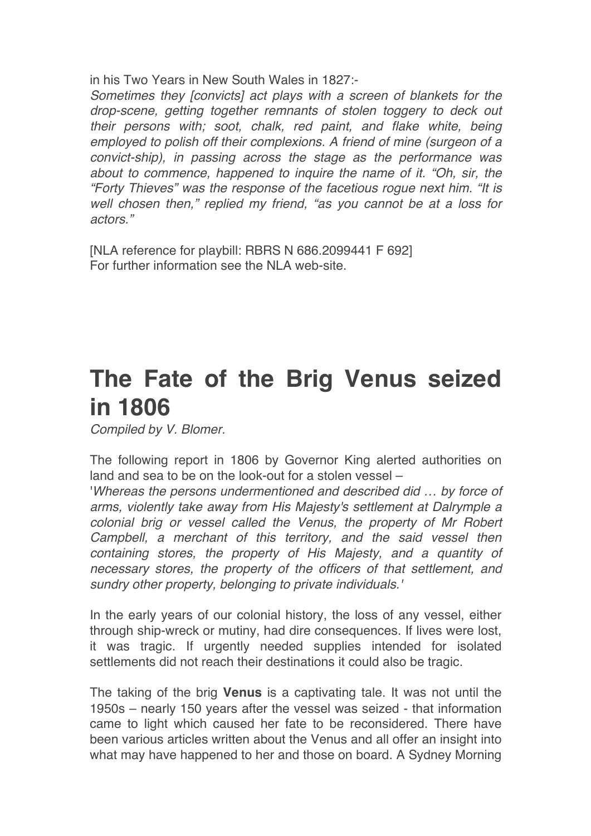in his Two Years in New South Wales in 1827:-

*Sometimes they [convicts] act plays with a screen of blankets for the drop-scene, getting together remnants of stolen toggery to deck out their persons with; soot, chalk, red paint, and flake white, being employed to polish off their complexions. A friend of mine (surgeon of a convict-ship), in passing across the stage as the performance was about to commence, happened to inquire the name of it. "Oh, sir, the "Forty Thieves" was the response of the facetious rogue next him. "It is well chosen then," replied my friend, "as you cannot be at a loss for actors."*

[NLA reference for playbill: RBRS N 686.2099441 F 692] For further information see the NLA web-site.

## **The Fate of the Brig Venus seized in 1806**

*Compiled by V. Blomer.*

The following report in 1806 by Governor King alerted authorities on land and sea to be on the look-out for a stolen vessel –

'*Whereas the persons undermentioned and described did … by force of arms, violently take away from His Majesty's settlement at Dalrymple a colonial brig or vessel called the Venus, the property of Mr Robert Campbell, a merchant of this territory, and the said vessel then containing stores, the property of His Majesty, and a quantity of necessary stores, the property of the officers of that settlement, and sundry other property, belonging to private individuals.'*

In the early years of our colonial history, the loss of any vessel, either through ship-wreck or mutiny, had dire consequences. If lives were lost, it was tragic. If urgently needed supplies intended for isolated settlements did not reach their destinations it could also be tragic.

The taking of the brig **Venus** is a captivating tale. It was not until the 1950s – nearly 150 years after the vessel was seized - that information came to light which caused her fate to be reconsidered. There have been various articles written about the Venus and all offer an insight into what may have happened to her and those on board. A Sydney Morning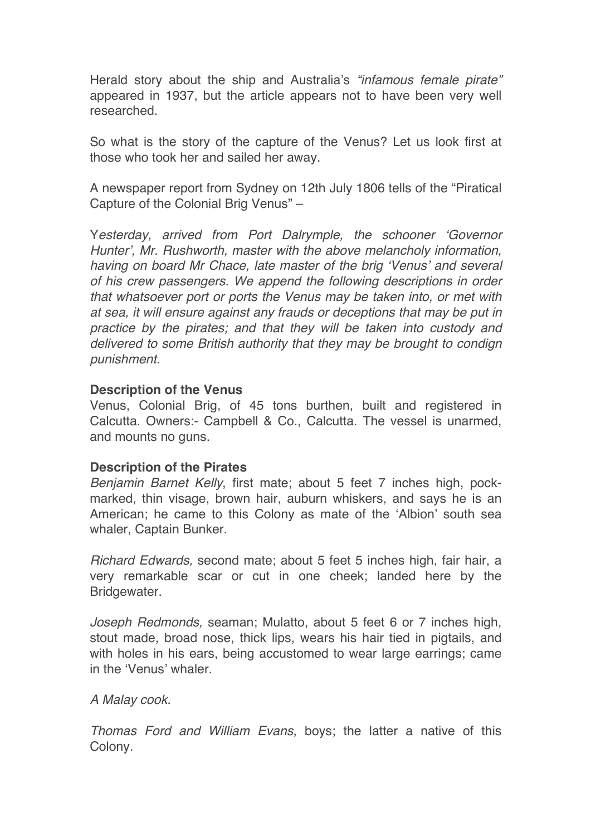Herald story about the ship and Australia's *"infamous female pirate"* appeared in 1937, but the article appears not to have been very well researched.

So what is the story of the capture of the Venus? Let us look first at those who took her and sailed her away.

A newspaper report from Sydney on 12th July 1806 tells of the "Piratical Capture of the Colonial Brig Venus" –

Y*esterday, arrived from Port Dalrymple, the schooner 'Governor Hunter', Mr. Rushworth, master with the above melancholy information, having on board Mr Chace, late master of the brig 'Venus' and several of his crew passengers. We append the following descriptions in order that whatsoever port or ports the Venus may be taken into, or met with at sea, it will ensure against any frauds or deceptions that may be put in practice by the pirates; and that they will be taken into custody and delivered to some British authority that they may be brought to condign punishment.*

#### **Description of the Venus**

Venus, Colonial Brig, of 45 tons burthen, built and registered in Calcutta. Owners:- Campbell & Co., Calcutta. The vessel is unarmed, and mounts no guns.

#### **Description of the Pirates**

*Benjamin Barnet Kelly*, first mate; about 5 feet 7 inches high, pockmarked, thin visage, brown hair, auburn whiskers, and says he is an American; he came to this Colony as mate of the 'Albion' south sea whaler, Captain Bunker.

*Richard Edwards,* second mate; about 5 feet 5 inches high, fair hair, a very remarkable scar or cut in one cheek; landed here by the Bridgewater.

*Joseph Redmonds,* seaman; Mulatto, about 5 feet 6 or 7 inches high, stout made, broad nose, thick lips, wears his hair tied in pigtails, and with holes in his ears, being accustomed to wear large earrings; came in the 'Venus' whaler.

#### *A Malay cook.*

*Thomas Ford and William Evans*, boys; the latter a native of this Colony.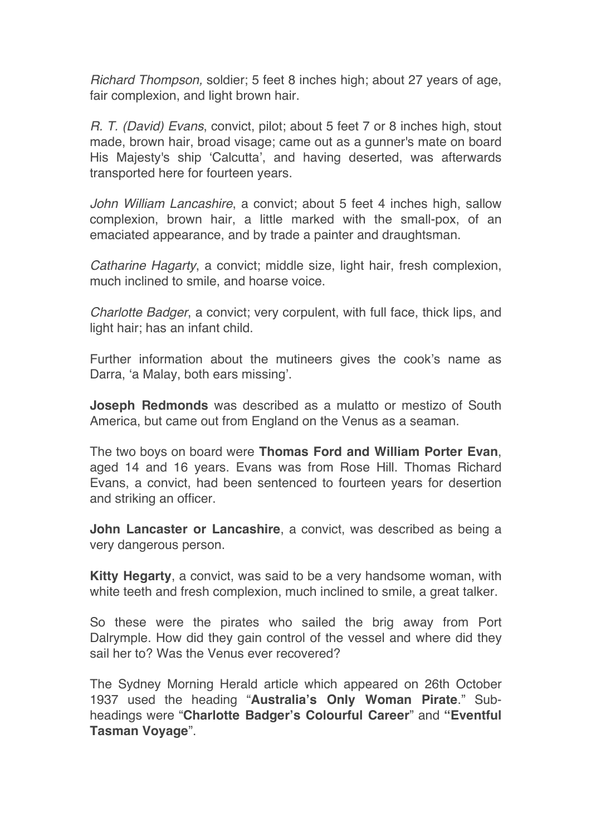*Richard Thompson,* soldier; 5 feet 8 inches high; about 27 years of age, fair complexion, and light brown hair.

*R. T. (David) Evans*, convict, pilot; about 5 feet 7 or 8 inches high, stout made, brown hair, broad visage; came out as a gunner's mate on board His Majesty's ship 'Calcutta', and having deserted, was afterwards transported here for fourteen years.

*John William Lancashire*, a convict; about 5 feet 4 inches high, sallow complexion, brown hair, a little marked with the small-pox, of an emaciated appearance, and by trade a painter and draughtsman.

*Catharine Hagarty*, a convict; middle size, light hair, fresh complexion, much inclined to smile, and hoarse voice.

*Charlotte Badger*, a convict; very corpulent, with full face, thick lips, and light hair; has an infant child.

Further information about the mutineers gives the cook's name as Darra, 'a Malay, both ears missing'.

**Joseph Redmonds** was described as a mulatto or mestizo of South America, but came out from England on the Venus as a seaman.

The two boys on board were **Thomas Ford and William Porter Evan**, aged 14 and 16 years. Evans was from Rose Hill. Thomas Richard Evans, a convict, had been sentenced to fourteen years for desertion and striking an officer.

**John Lancaster or Lancashire**, a convict, was described as being a very dangerous person.

**Kitty Hegarty**, a convict, was said to be a very handsome woman, with white teeth and fresh complexion, much inclined to smile, a great talker.

So these were the pirates who sailed the brig away from Port Dalrymple. How did they gain control of the vessel and where did they sail her to? Was the Venus ever recovered?

The Sydney Morning Herald article which appeared on 26th October 1937 used the heading "**Australia's Only Woman Pirate**." Subheadings were "**Charlotte Badger's Colourful Career**" and **"Eventful Tasman Voyage**".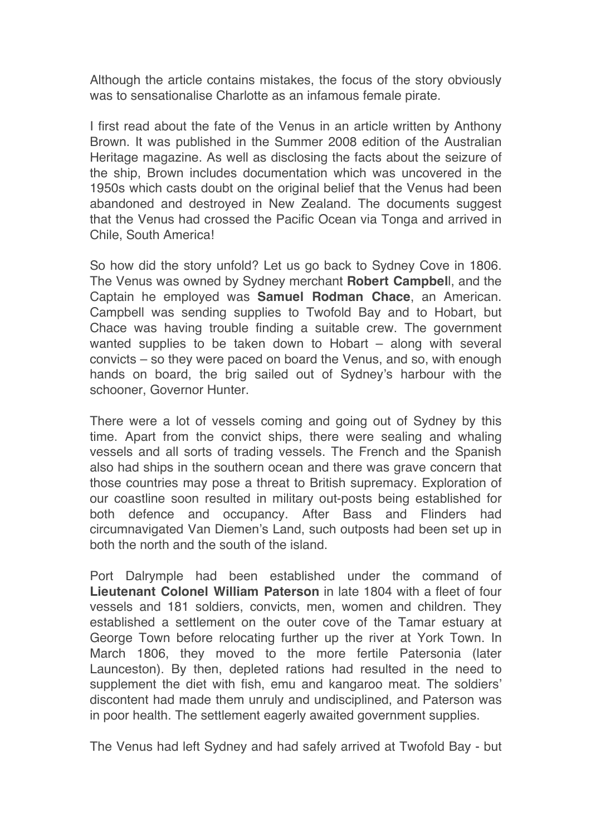Although the article contains mistakes, the focus of the story obviously was to sensationalise Charlotte as an infamous female pirate.

I first read about the fate of the Venus in an article written by Anthony Brown. It was published in the Summer 2008 edition of the Australian Heritage magazine. As well as disclosing the facts about the seizure of the ship, Brown includes documentation which was uncovered in the 1950s which casts doubt on the original belief that the Venus had been abandoned and destroyed in New Zealand. The documents suggest that the Venus had crossed the Pacific Ocean via Tonga and arrived in Chile, South America!

So how did the story unfold? Let us go back to Sydney Cove in 1806. The Venus was owned by Sydney merchant **Robert Campbel**l, and the Captain he employed was **Samuel Rodman Chace**, an American. Campbell was sending supplies to Twofold Bay and to Hobart, but Chace was having trouble finding a suitable crew. The government wanted supplies to be taken down to Hobart – along with several convicts – so they were paced on board the Venus, and so, with enough hands on board, the brig sailed out of Sydney's harbour with the schooner, Governor Hunter.

There were a lot of vessels coming and going out of Sydney by this time. Apart from the convict ships, there were sealing and whaling vessels and all sorts of trading vessels. The French and the Spanish also had ships in the southern ocean and there was grave concern that those countries may pose a threat to British supremacy. Exploration of our coastline soon resulted in military out-posts being established for both defence and occupancy. After Bass and Flinders had circumnavigated Van Diemen's Land, such outposts had been set up in both the north and the south of the island.

Port Dalrymple had been established under the command of **Lieutenant Colonel William Paterson** in late 1804 with a fleet of four vessels and 181 soldiers, convicts, men, women and children. They established a settlement on the outer cove of the Tamar estuary at George Town before relocating further up the river at York Town. In March 1806, they moved to the more fertile Patersonia (later Launceston). By then, depleted rations had resulted in the need to supplement the diet with fish, emu and kangaroo meat. The soldiers' discontent had made them unruly and undisciplined, and Paterson was in poor health. The settlement eagerly awaited government supplies.

The Venus had left Sydney and had safely arrived at Twofold Bay - but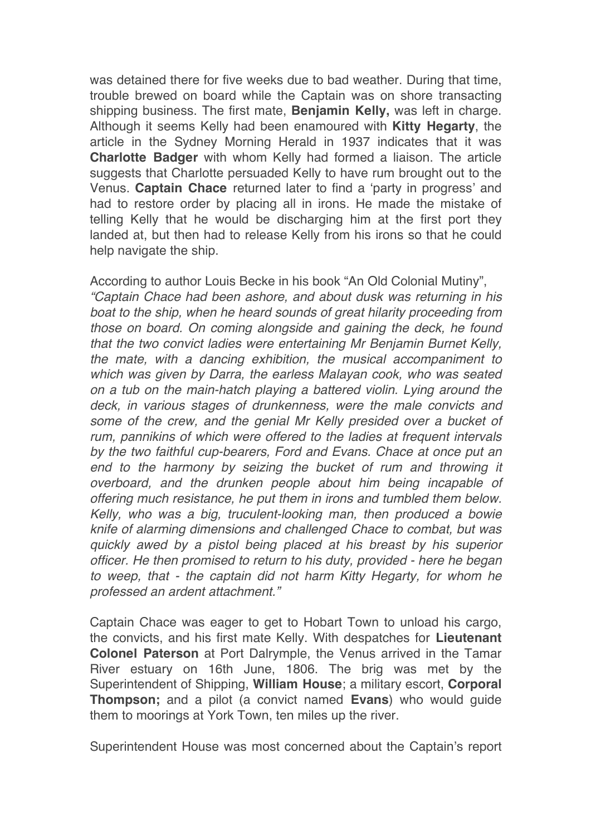was detained there for five weeks due to bad weather. During that time, trouble brewed on board while the Captain was on shore transacting shipping business. The first mate, **Benjamin Kelly,** was left in charge. Although it seems Kelly had been enamoured with **Kitty Hegarty**, the article in the Sydney Morning Herald in 1937 indicates that it was **Charlotte Badger** with whom Kelly had formed a liaison. The article suggests that Charlotte persuaded Kelly to have rum brought out to the Venus. **Captain Chace** returned later to find a 'party in progress' and had to restore order by placing all in irons. He made the mistake of telling Kelly that he would be discharging him at the first port they landed at, but then had to release Kelly from his irons so that he could help navigate the ship.

According to author Louis Becke in his book "An Old Colonial Mutiny", *"Captain Chace had been ashore, and about dusk was returning in his boat to the ship, when he heard sounds of great hilarity proceeding from those on board. On coming alongside and gaining the deck, he found that the two convict ladies were entertaining Mr Benjamin Burnet Kelly, the mate, with a dancing exhibition, the musical accompaniment to which was given by Darra, the earless Malayan cook, who was seated on a tub on the main-hatch playing a battered violin. Lying around the deck, in various stages of drunkenness, were the male convicts and some of the crew, and the genial Mr Kelly presided over a bucket of rum, pannikins of which were offered to the ladies at frequent intervals by the two faithful cup-bearers, Ford and Evans. Chace at once put an end to the harmony by seizing the bucket of rum and throwing it overboard, and the drunken people about him being incapable of offering much resistance, he put them in irons and tumbled them below. Kelly, who was a big, truculent-looking man, then produced a bowie knife of alarming dimensions and challenged Chace to combat, but was quickly awed by a pistol being placed at his breast by his superior officer. He then promised to return to his duty, provided - here he began to weep, that - the captain did not harm Kitty Hegarty, for whom he professed an ardent attachment."*

Captain Chace was eager to get to Hobart Town to unload his cargo, the convicts, and his first mate Kelly. With despatches for **Lieutenant Colonel Paterson** at Port Dalrymple, the Venus arrived in the Tamar River estuary on 16th June, 1806. The brig was met by the Superintendent of Shipping, **William House**; a military escort, **Corporal Thompson;** and a pilot (a convict named **Evans**) who would guide them to moorings at York Town, ten miles up the river.

Superintendent House was most concerned about the Captain's report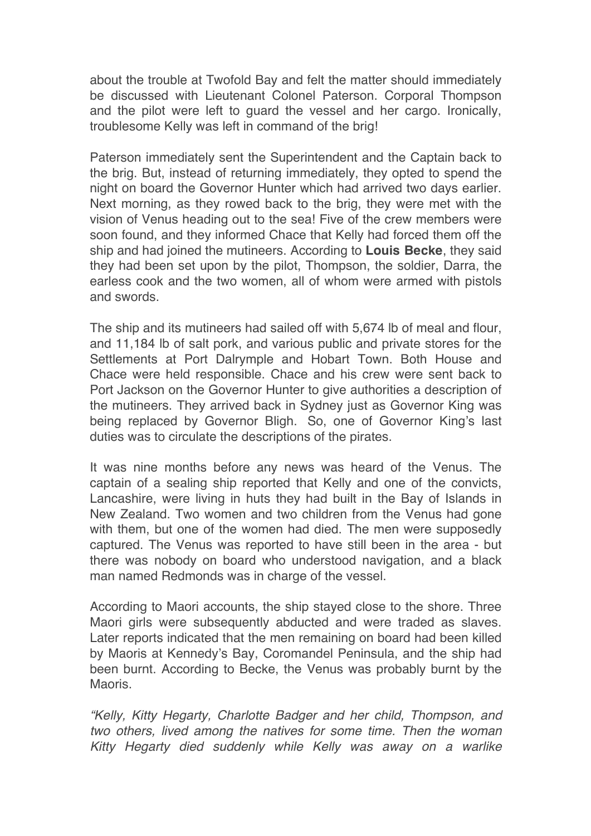about the trouble at Twofold Bay and felt the matter should immediately be discussed with Lieutenant Colonel Paterson. Corporal Thompson and the pilot were left to guard the vessel and her cargo. Ironically, troublesome Kelly was left in command of the brig!

Paterson immediately sent the Superintendent and the Captain back to the brig. But, instead of returning immediately, they opted to spend the night on board the Governor Hunter which had arrived two days earlier. Next morning, as they rowed back to the brig, they were met with the vision of Venus heading out to the sea! Five of the crew members were soon found, and they informed Chace that Kelly had forced them off the ship and had joined the mutineers. According to **Louis Becke**, they said they had been set upon by the pilot, Thompson, the soldier, Darra, the earless cook and the two women, all of whom were armed with pistols and swords.

The ship and its mutineers had sailed off with 5,674 lb of meal and flour, and 11,184 lb of salt pork, and various public and private stores for the Settlements at Port Dalrymple and Hobart Town. Both House and Chace were held responsible. Chace and his crew were sent back to Port Jackson on the Governor Hunter to give authorities a description of the mutineers. They arrived back in Sydney just as Governor King was being replaced by Governor Bligh. So, one of Governor King's last duties was to circulate the descriptions of the pirates.

It was nine months before any news was heard of the Venus. The captain of a sealing ship reported that Kelly and one of the convicts, Lancashire, were living in huts they had built in the Bay of Islands in New Zealand. Two women and two children from the Venus had gone with them, but one of the women had died. The men were supposedly captured. The Venus was reported to have still been in the area - but there was nobody on board who understood navigation, and a black man named Redmonds was in charge of the vessel.

According to Maori accounts, the ship stayed close to the shore. Three Maori girls were subsequently abducted and were traded as slaves. Later reports indicated that the men remaining on board had been killed by Maoris at Kennedy's Bay, Coromandel Peninsula, and the ship had been burnt. According to Becke, the Venus was probably burnt by the Maoris.

*"Kelly, Kitty Hegarty, Charlotte Badger and her child, Thompson, and two others, lived among the natives for some time. Then the woman Kitty Hegarty died suddenly while Kelly was away on a warlike*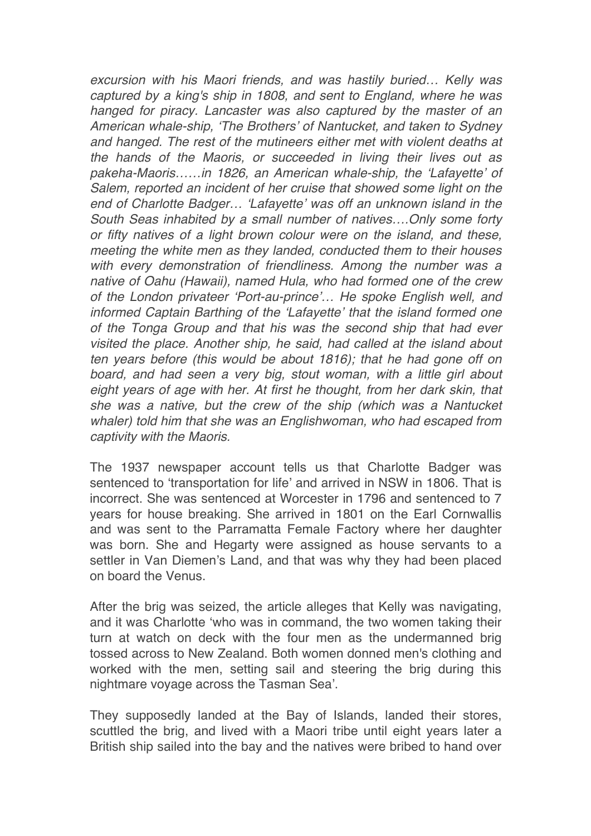*excursion with his Maori friends, and was hastily buried… Kelly was captured by a king's ship in 1808, and sent to England, where he was hanged for piracy. Lancaster was also captured by the master of an American whale-ship, 'The Brothers' of Nantucket, and taken to Sydney and hanged. The rest of the mutineers either met with violent deaths at the hands of the Maoris, or succeeded in living their lives out as pakeha-Maoris……in 1826, an American whale-ship, the 'Lafayette' of Salem, reported an incident of her cruise that showed some light on the end of Charlotte Badger… 'Lafayette' was off an unknown island in the South Seas inhabited by a small number of natives….Only some forty or fifty natives of a light brown colour were on the island, and these, meeting the white men as they landed, conducted them to their houses with every demonstration of friendliness. Among the number was a native of Oahu (Hawaii), named Hula, who had formed one of the crew of the London privateer 'Port-au-prince'… He spoke English well, and informed Captain Barthing of the 'Lafayette' that the island formed one of the Tonga Group and that his was the second ship that had ever visited the place. Another ship, he said, had called at the island about ten years before (this would be about 1816); that he had gone off on board, and had seen a very big, stout woman, with a little girl about eight years of age with her. At first he thought, from her dark skin, that she was a native, but the crew of the ship (which was a Nantucket whaler) told him that she was an Englishwoman, who had escaped from captivity with the Maoris.*

The 1937 newspaper account tells us that Charlotte Badger was sentenced to 'transportation for life' and arrived in NSW in 1806. That is incorrect. She was sentenced at Worcester in 1796 and sentenced to 7 years for house breaking. She arrived in 1801 on the Earl Cornwallis and was sent to the Parramatta Female Factory where her daughter was born. She and Hegarty were assigned as house servants to a settler in Van Diemen's Land, and that was why they had been placed on board the Venus.

After the brig was seized, the article alleges that Kelly was navigating, and it was Charlotte 'who was in command, the two women taking their turn at watch on deck with the four men as the undermanned brig tossed across to New Zealand. Both women donned men's clothing and worked with the men, setting sail and steering the brig during this nightmare voyage across the Tasman Sea'.

They supposedly landed at the Bay of Islands, landed their stores, scuttled the brig, and lived with a Maori tribe until eight years later a British ship sailed into the bay and the natives were bribed to hand over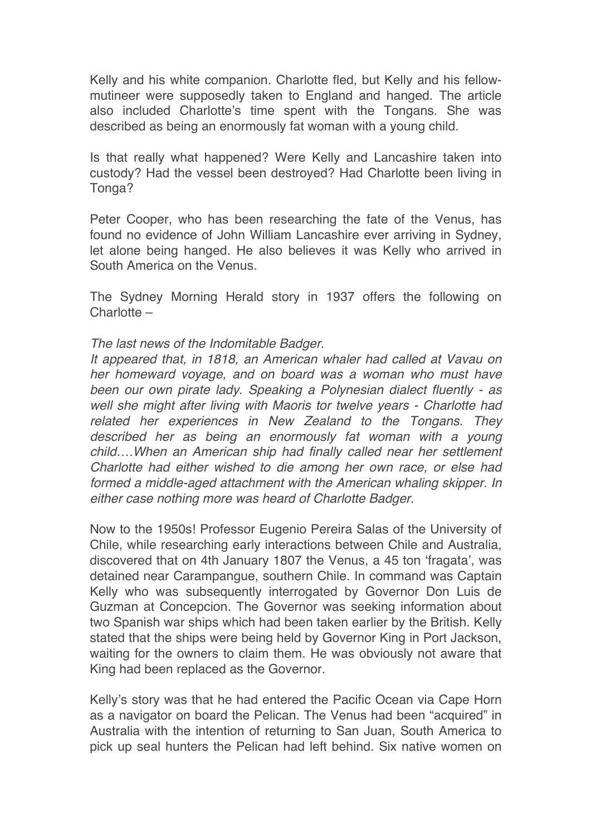Kelly and his white companion. Charlotte fled, but Kelly and his fellowmutineer were supposedly taken to England and hanged. The article also included Charlotte's time spent with the Tongans. She was described as being an enormously fat woman with a young child.

Is that really what happened? Were Kelly and Lancashire taken into custody? Had the vessel been destroyed? Had Charlotte been living in Tonga?

Peter Cooper, who has been researching the fate of the Venus, has found no evidence of John William Lancashire ever arriving in Sydney, let alone being hanged. He also believes it was Kelly who arrived in South America on the Venus.

The Sydney Morning Herald story in 1937 offers the following on Charlotte –

#### *The last news of the Indomitable Badger.*

*It appeared that, in 1818, an American whaler had called at Vavau on her homeward voyage, and on board was a woman who must have been our own pirate lady. Speaking a Polynesian dialect fluently - as well she might after living with Maoris tor twelve years - Charlotte had related her experiences in New Zealand to the Tongans. They described her as being an enormously fat woman with a young child….When an American ship had finally called near her settlement Charlotte had either wished to die among her own race, or else had formed a middle-aged attachment with the American whaling skipper. In either case nothing more was heard of Charlotte Badger.*

Now to the 1950s! Professor Eugenio Pereira Salas of the University of Chile, while researching early interactions between Chile and Australia, discovered that on 4th January 1807 the Venus, a 45 ton 'fragata', was detained near Carampangue, southern Chile. In command was Captain Kelly who was subsequently interrogated by Governor Don Luis de Guzman at Concepcion. The Governor was seeking information about two Spanish war ships which had been taken earlier by the British. Kelly stated that the ships were being held by Governor King in Port Jackson, waiting for the owners to claim them. He was obviously not aware that King had been replaced as the Governor.

Kelly's story was that he had entered the Pacific Ocean via Cape Horn as a navigator on board the Pelican. The Venus had been "acquired" in Australia with the intention of returning to San Juan, South America to pick up seal hunters the Pelican had left behind. Six native women on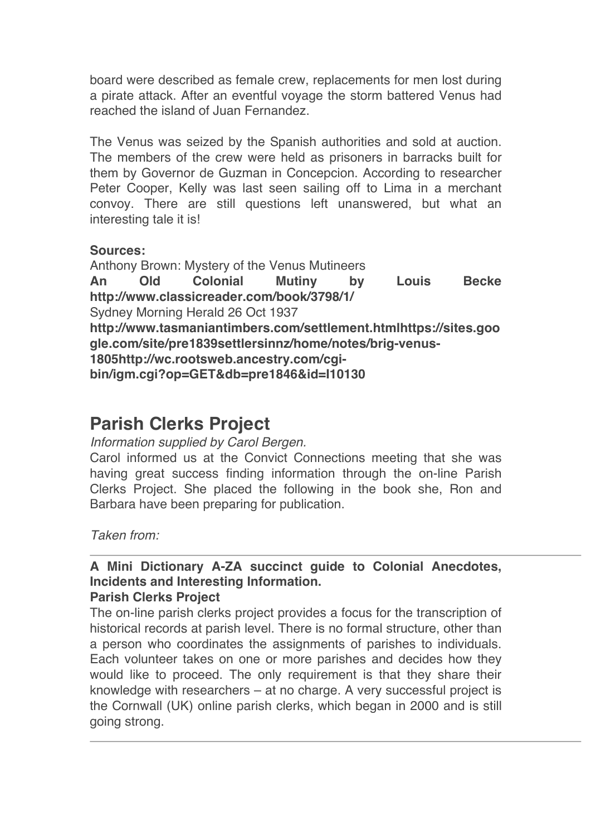board were described as female crew, replacements for men lost during a pirate attack. After an eventful voyage the storm battered Venus had reached the island of Juan Fernandez.

The Venus was seized by the Spanish authorities and sold at auction. The members of the crew were held as prisoners in barracks built for them by Governor de Guzman in Concepcion. According to researcher Peter Cooper, Kelly was last seen sailing off to Lima in a merchant convoy. There are still questions left unanswered, but what an interesting tale it is!

#### **Sources:**

Anthony Brown: Mystery of the Venus Mutineers **An Old Colonial Mutiny by Louis Becke http://www.classicreader.com/book/3798/1/** Sydney Morning Herald 26 Oct 1937 **http://www.tasmaniantimbers.com/settlement.htmlhttps://sites.goo gle.com/site/pre1839settlersinnz/home/notes/brig-venus-1805http://wc.rootsweb.ancestry.com/cgibin/igm.cgi?op=GET&db=pre1846&id=I10130**

## **Parish Clerks Project**

*Information supplied by Carol Bergen.*

Carol informed us at the Convict Connections meeting that she was having great success finding information through the on-line Parish Clerks Project. She placed the following in the book she, Ron and Barbara have been preparing for publication.

*Taken from:*

### **A Mini Dictionary A-ZA succinct guide to Colonial Anecdotes, Incidents and Interesting Information.**

#### **Parish Clerks Project**

The on-line parish clerks project provides a focus for the transcription of historical records at parish level. There is no formal structure, other than a person who coordinates the assignments of parishes to individuals. Each volunteer takes on one or more parishes and decides how they would like to proceed. The only requirement is that they share their knowledge with researchers – at no charge. A very successful project is the Cornwall (UK) online parish clerks, which began in 2000 and is still going strong.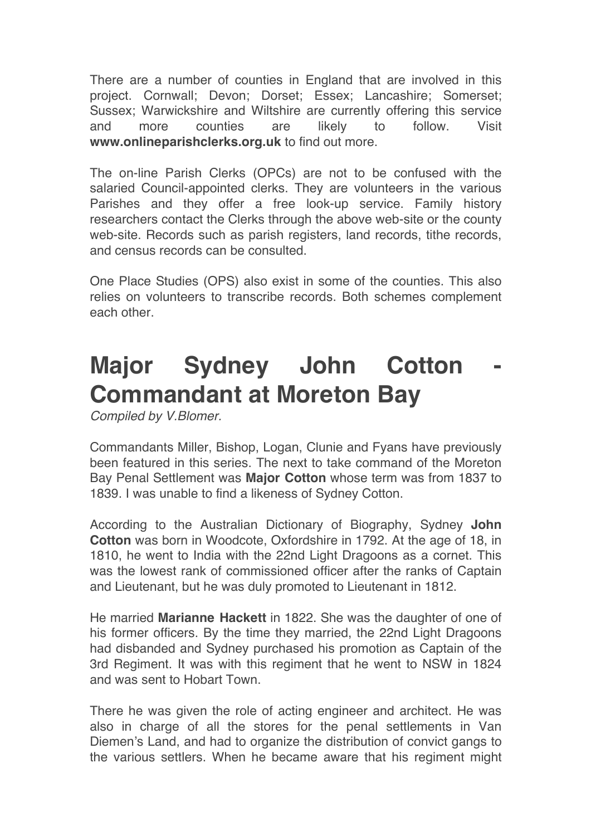There are a number of counties in England that are involved in this project. Cornwall; Devon; Dorset; Essex; Lancashire; Somerset; Sussex; Warwickshire and Wiltshire are currently offering this service and more counties are likely to follow. Visit **www.onlineparishclerks.org.uk** to find out more.

The on-line Parish Clerks (OPCs) are not to be confused with the salaried Council-appointed clerks. They are volunteers in the various Parishes and they offer a free look-up service. Family history researchers contact the Clerks through the above web-site or the county web-site. Records such as parish registers, land records, tithe records, and census records can be consulted.

One Place Studies (OPS) also exist in some of the counties. This also relies on volunteers to transcribe records. Both schemes complement each other.

# **Major Sydney John Cotton Commandant at Moreton Bay**

*Compiled by V.Blomer.*

Commandants Miller, Bishop, Logan, Clunie and Fyans have previously been featured in this series. The next to take command of the Moreton Bay Penal Settlement was **Major Cotton** whose term was from 1837 to 1839. I was unable to find a likeness of Sydney Cotton.

According to the Australian Dictionary of Biography, Sydney **John Cotton** was born in Woodcote, Oxfordshire in 1792. At the age of 18, in 1810, he went to India with the 22nd Light Dragoons as a cornet. This was the lowest rank of commissioned officer after the ranks of Captain and Lieutenant, but he was duly promoted to Lieutenant in 1812.

He married **Marianne Hackett** in 1822. She was the daughter of one of his former officers. By the time they married, the 22nd Light Dragoons had disbanded and Sydney purchased his promotion as Captain of the 3rd Regiment. It was with this regiment that he went to NSW in 1824 and was sent to Hobart Town.

There he was given the role of acting engineer and architect. He was also in charge of all the stores for the penal settlements in Van Diemen's Land, and had to organize the distribution of convict gangs to the various settlers. When he became aware that his regiment might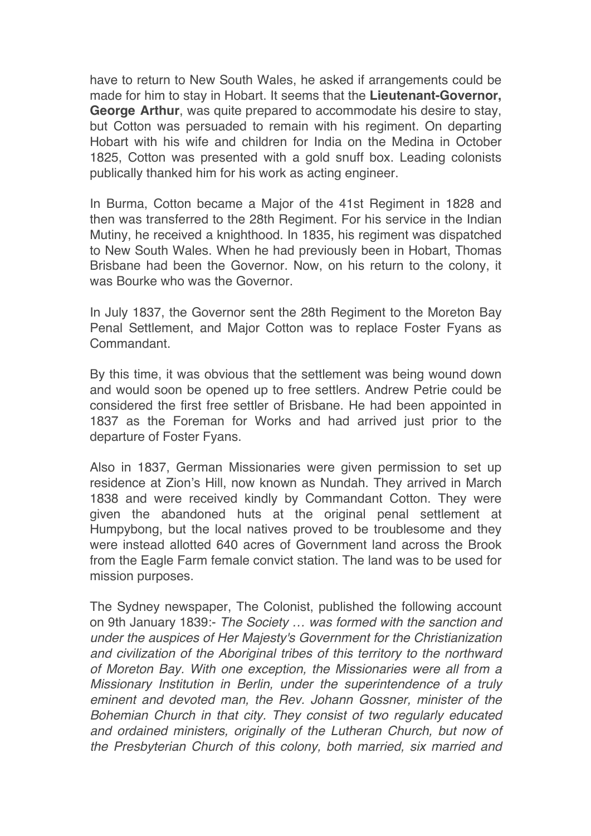have to return to New South Wales, he asked if arrangements could be made for him to stay in Hobart. It seems that the **Lieutenant-Governor, George Arthur**, was quite prepared to accommodate his desire to stay, but Cotton was persuaded to remain with his regiment. On departing Hobart with his wife and children for India on the Medina in October 1825, Cotton was presented with a gold snuff box. Leading colonists publically thanked him for his work as acting engineer.

In Burma, Cotton became a Major of the 41st Regiment in 1828 and then was transferred to the 28th Regiment. For his service in the Indian Mutiny, he received a knighthood. In 1835, his regiment was dispatched to New South Wales. When he had previously been in Hobart, Thomas Brisbane had been the Governor. Now, on his return to the colony, it was Bourke who was the Governor.

In July 1837, the Governor sent the 28th Regiment to the Moreton Bay Penal Settlement, and Major Cotton was to replace Foster Fyans as Commandant.

By this time, it was obvious that the settlement was being wound down and would soon be opened up to free settlers. Andrew Petrie could be considered the first free settler of Brisbane. He had been appointed in 1837 as the Foreman for Works and had arrived just prior to the departure of Foster Fyans.

Also in 1837, German Missionaries were given permission to set up residence at Zion's Hill, now known as Nundah. They arrived in March 1838 and were received kindly by Commandant Cotton. They were given the abandoned huts at the original penal settlement at Humpybong, but the local natives proved to be troublesome and they were instead allotted 640 acres of Government land across the Brook from the Eagle Farm female convict station. The land was to be used for mission purposes.

The Sydney newspaper, The Colonist, published the following account on 9th January 1839:- *The Society … was formed with the sanction and under the auspices of Her Majesty's Government for the Christianization and civilization of the Aboriginal tribes of this territory to the northward of Moreton Bay. With one exception, the Missionaries were all from a Missionary Institution in Berlin, under the superintendence of a truly eminent and devoted man, the Rev. Johann Gossner, minister of the Bohemian Church in that city. They consist of two regularly educated and ordained ministers, originally of the Lutheran Church, but now of the Presbyterian Church of this colony, both married, six married and*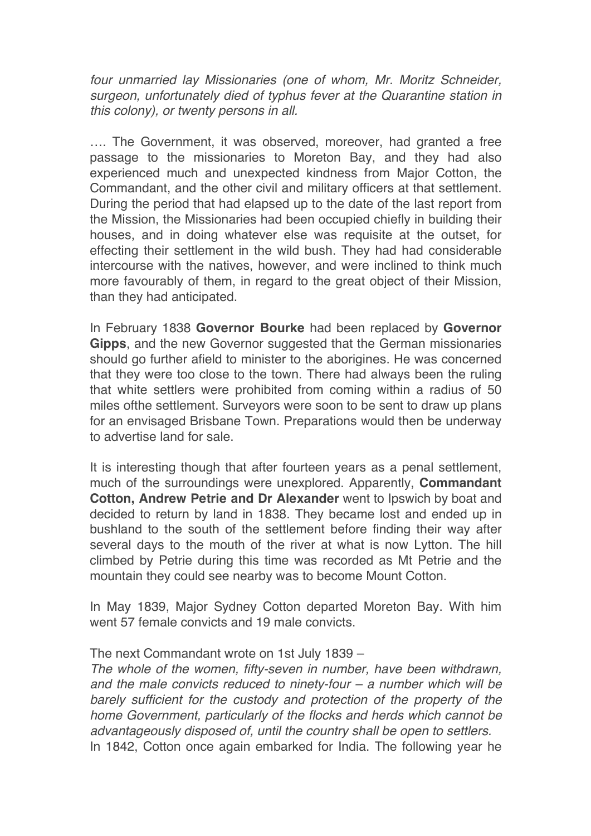*four unmarried lay Missionaries (one of whom, Mr. Moritz Schneider, surgeon, unfortunately died of typhus fever at the Quarantine station in this colony), or twenty persons in all.*

…. The Government, it was observed, moreover, had granted a free passage to the missionaries to Moreton Bay, and they had also experienced much and unexpected kindness from Major Cotton, the Commandant, and the other civil and military officers at that settlement. During the period that had elapsed up to the date of the last report from the Mission, the Missionaries had been occupied chiefly in building their houses, and in doing whatever else was requisite at the outset, for effecting their settlement in the wild bush. They had had considerable intercourse with the natives, however, and were inclined to think much more favourably of them, in regard to the great object of their Mission, than they had anticipated.

In February 1838 **Governor Bourke** had been replaced by **Governor Gipps**, and the new Governor suggested that the German missionaries should go further afield to minister to the aborigines. He was concerned that they were too close to the town. There had always been the ruling that white settlers were prohibited from coming within a radius of 50 miles ofthe settlement. Surveyors were soon to be sent to draw up plans for an envisaged Brisbane Town. Preparations would then be underway to advertise land for sale.

It is interesting though that after fourteen years as a penal settlement, much of the surroundings were unexplored. Apparently, **Commandant Cotton, Andrew Petrie and Dr Alexander** went to Ipswich by boat and decided to return by land in 1838. They became lost and ended up in bushland to the south of the settlement before finding their way after several days to the mouth of the river at what is now Lytton. The hill climbed by Petrie during this time was recorded as Mt Petrie and the mountain they could see nearby was to become Mount Cotton.

In May 1839, Major Sydney Cotton departed Moreton Bay. With him went 57 female convicts and 19 male convicts.

#### The next Commandant wrote on 1st July 1839 –

*The whole of the women, fifty-seven in number, have been withdrawn, and the male convicts reduced to ninety-four – a number which will be barely sufficient for the custody and protection of the property of the home Government, particularly of the flocks and herds which cannot be advantageously disposed of, until the country shall be open to settlers.* In 1842, Cotton once again embarked for India. The following year he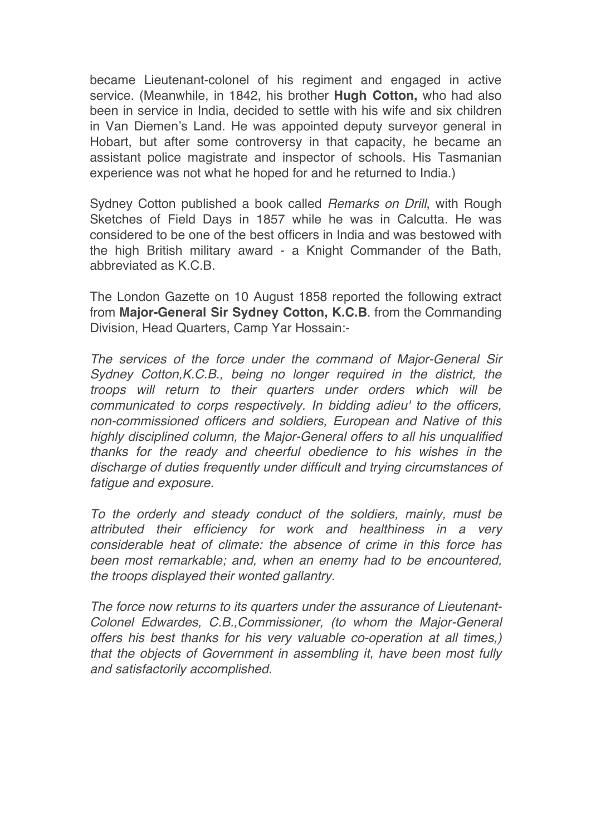became Lieutenant-colonel of his regiment and engaged in active service. (Meanwhile, in 1842, his brother **Hugh Cotton,** who had also been in service in India, decided to settle with his wife and six children in Van Diemen's Land. He was appointed deputy surveyor general in Hobart, but after some controversy in that capacity, he became an assistant police magistrate and inspector of schools. His Tasmanian experience was not what he hoped for and he returned to India.)

Sydney Cotton published a book called *Remarks on Drill*, with Rough Sketches of Field Days in 1857 while he was in Calcutta. He was considered to be one of the best officers in India and was bestowed with the high British military award - a Knight Commander of the Bath, abbreviated as K.C.B.

The London Gazette on 10 August 1858 reported the following extract from **Major-General Sir Sydney Cotton, K.C.B**. from the Commanding Division, Head Quarters, Camp Yar Hossain:-

*The services of the force under the command of Major-General Sir Sydney Cotton,K.C.B., being no longer required in the district, the troops will return to their quarters under orders which will be communicated to corps respectively. In bidding adieu' to the officers, non-commissioned officers and soldiers, European and Native of this highly disciplined column, the Major-General offers to all his unqualified thanks for the ready and cheerful obedience to his wishes in the discharge of duties frequently under difficult and trying circumstances of fatigue and exposure.*

*To the orderly and steady conduct of the soldiers, mainly, must be attributed their efficiency for work and healthiness in a very considerable heat of climate: the absence of crime in this force has been most remarkable; and, when an enemy had to be encountered, the troops displayed their wonted gallantry.* 

*The force now returns to its quarters under the assurance of Lieutenant-Colonel Edwardes, C.B.,Commissioner, (to whom the Major-General offers his best thanks for his very valuable co-operation at all times,) that the objects of Government in assembling it, have been most fully and satisfactorily accomplished.*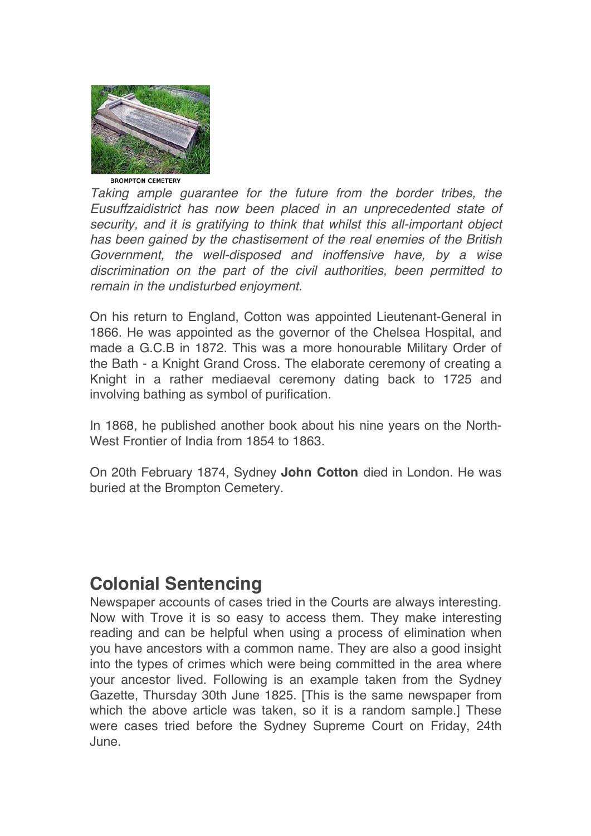

*Taking ample guarantee for the future from the border tribes, the Eusuffzaidistrict has now been placed in an unprecedented state of security, and it is gratifying to think that whilst this all-important object has been gained by the chastisement of the real enemies of the British Government, the well-disposed and inoffensive have, by a wise discrimination on the part of the civil authorities, been permitted to remain in the undisturbed enjoyment.*

On his return to England, Cotton was appointed Lieutenant-General in 1866. He was appointed as the governor of the Chelsea Hospital, and made a G.C.B in 1872. This was a more honourable Military Order of the Bath - a Knight Grand Cross. The elaborate ceremony of creating a Knight in a rather mediaeval ceremony dating back to 1725 and involving bathing as symbol of purification.

In 1868, he published another book about his nine years on the North-West Frontier of India from 1854 to 1863.

On 20th February 1874, Sydney **John Cotton** died in London. He was buried at the Brompton Cemetery.

## **Colonial Sentencing**

Newspaper accounts of cases tried in the Courts are always interesting. Now with Trove it is so easy to access them. They make interesting reading and can be helpful when using a process of elimination when you have ancestors with a common name. They are also a good insight into the types of crimes which were being committed in the area where your ancestor lived. Following is an example taken from the Sydney Gazette, Thursday 30th June 1825. [This is the same newspaper from which the above article was taken, so it is a random sample.] These were cases tried before the Sydney Supreme Court on Friday, 24th June.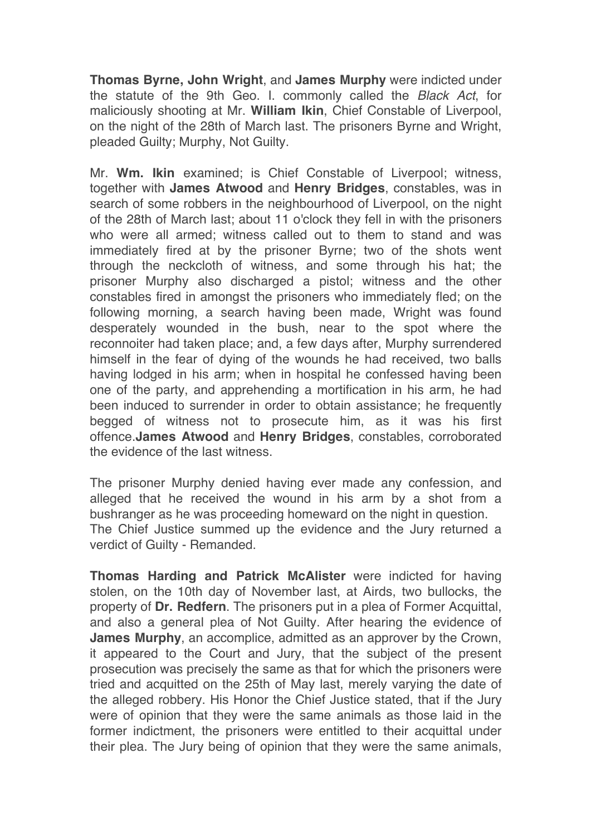**Thomas Byrne, John Wright**, and **James Murphy** were indicted under the statute of the 9th Geo. I. commonly called the *Black Act*, for maliciously shooting at Mr. **William Ikin**, Chief Constable of Liverpool, on the night of the 28th of March last. The prisoners Byrne and Wright, pleaded Guilty; Murphy, Not Guilty.

Mr. **Wm. Ikin** examined; is Chief Constable of Liverpool; witness, together with **James Atwood** and **Henry Bridges**, constables, was in search of some robbers in the neighbourhood of Liverpool, on the night of the 28th of March last; about 11 o'clock they fell in with the prisoners who were all armed; witness called out to them to stand and was immediately fired at by the prisoner Byrne; two of the shots went through the neckcloth of witness, and some through his hat; the prisoner Murphy also discharged a pistol; witness and the other constables fired in amongst the prisoners who immediately fled; on the following morning, a search having been made, Wright was found desperately wounded in the bush, near to the spot where the reconnoiter had taken place; and, a few days after, Murphy surrendered himself in the fear of dying of the wounds he had received, two balls having lodged in his arm; when in hospital he confessed having been one of the party, and apprehending a mortification in his arm, he had been induced to surrender in order to obtain assistance; he frequently begged of witness not to prosecute him, as it was his first offence.**James Atwood** and **Henry Bridges**, constables, corroborated the evidence of the last witness.

The prisoner Murphy denied having ever made any confession, and alleged that he received the wound in his arm by a shot from a bushranger as he was proceeding homeward on the night in question. The Chief Justice summed up the evidence and the Jury returned a verdict of Guilty - Remanded.

**Thomas Harding and Patrick McAlister** were indicted for having stolen, on the 10th day of November last, at Airds, two bullocks, the property of **Dr. Redfern**. The prisoners put in a plea of Former Acquittal, and also a general plea of Not Guilty. After hearing the evidence of **James Murphy**, an accomplice, admitted as an approver by the Crown, it appeared to the Court and Jury, that the subject of the present prosecution was precisely the same as that for which the prisoners were tried and acquitted on the 25th of May last, merely varying the date of the alleged robbery. His Honor the Chief Justice stated, that if the Jury were of opinion that they were the same animals as those laid in the former indictment, the prisoners were entitled to their acquittal under their plea. The Jury being of opinion that they were the same animals,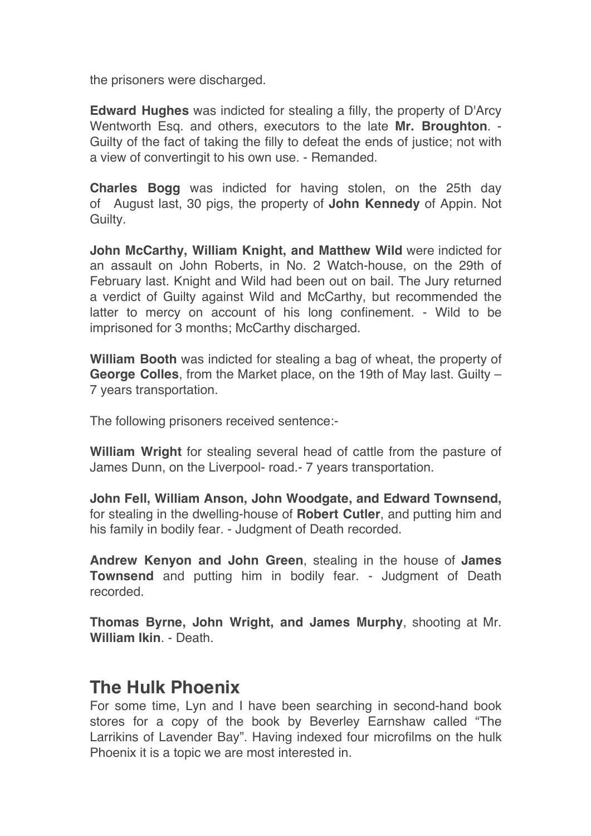the prisoners were discharged.

**Edward Hughes** was indicted for stealing a filly, the property of D'Arcy Wentworth Esq. and others, executors to the late **Mr. Broughton**. - Guilty of the fact of taking the filly to defeat the ends of justice; not with a view of convertingit to his own use. - Remanded.

**Charles Bogg** was indicted for having stolen, on the 25th day of August last, 30 pigs, the property of **John Kennedy** of Appin. Not Guilty.

**John McCarthy, William Knight, and Matthew Wild** were indicted for an assault on John Roberts, in No. 2 Watch-house, on the 29th of February last. Knight and Wild had been out on bail. The Jury returned a verdict of Guilty against Wild and McCarthy, but recommended the latter to mercy on account of his long confinement. - Wild to be imprisoned for 3 months; McCarthy discharged.

**William Booth** was indicted for stealing a bag of wheat, the property of **George Colles**, from the Market place, on the 19th of May last. Guilty – 7 years transportation.

The following prisoners received sentence:-

**William Wright** for stealing several head of cattle from the pasture of James Dunn, on the Liverpool- road.- 7 years transportation.

**John Fell, William Anson, John Woodgate, and Edward Townsend,** for stealing in the dwelling-house of **Robert Cutler**, and putting him and his family in bodily fear. - Judgment of Death recorded.

**Andrew Kenyon and John Green**, stealing in the house of **James Townsend** and putting him in bodily fear. - Judgment of Death recorded.

**Thomas Byrne, John Wright, and James Murphy**, shooting at Mr. **William Ikin - Death.** 

### **The Hulk Phoenix**

For some time, Lyn and I have been searching in second-hand book stores for a copy of the book by Beverley Earnshaw called "The Larrikins of Lavender Bay". Having indexed four microfilms on the hulk Phoenix it is a topic we are most interested in.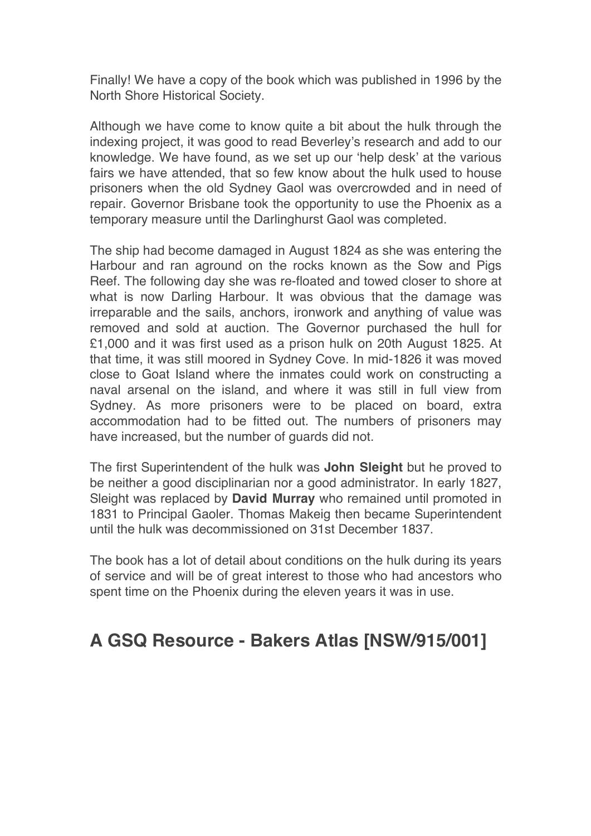Finally! We have a copy of the book which was published in 1996 by the North Shore Historical Society.

Although we have come to know quite a bit about the hulk through the indexing project, it was good to read Beverley's research and add to our knowledge. We have found, as we set up our 'help desk' at the various fairs we have attended, that so few know about the hulk used to house prisoners when the old Sydney Gaol was overcrowded and in need of repair. Governor Brisbane took the opportunity to use the Phoenix as a temporary measure until the Darlinghurst Gaol was completed.

The ship had become damaged in August 1824 as she was entering the Harbour and ran aground on the rocks known as the Sow and Pigs Reef. The following day she was re-floated and towed closer to shore at what is now Darling Harbour. It was obvious that the damage was irreparable and the sails, anchors, ironwork and anything of value was removed and sold at auction. The Governor purchased the hull for £1,000 and it was first used as a prison hulk on 20th August 1825. At that time, it was still moored in Sydney Cove. In mid-1826 it was moved close to Goat Island where the inmates could work on constructing a naval arsenal on the island, and where it was still in full view from Sydney. As more prisoners were to be placed on board, extra accommodation had to be fitted out. The numbers of prisoners may have increased, but the number of guards did not.

The first Superintendent of the hulk was **John Sleight** but he proved to be neither a good disciplinarian nor a good administrator. In early 1827, Sleight was replaced by **David Murray** who remained until promoted in 1831 to Principal Gaoler. Thomas Makeig then became Superintendent until the hulk was decommissioned on 31st December 1837.

The book has a lot of detail about conditions on the hulk during its years of service and will be of great interest to those who had ancestors who spent time on the Phoenix during the eleven years it was in use.

## **A GSQ Resource - Bakers Atlas [NSW/915/001]**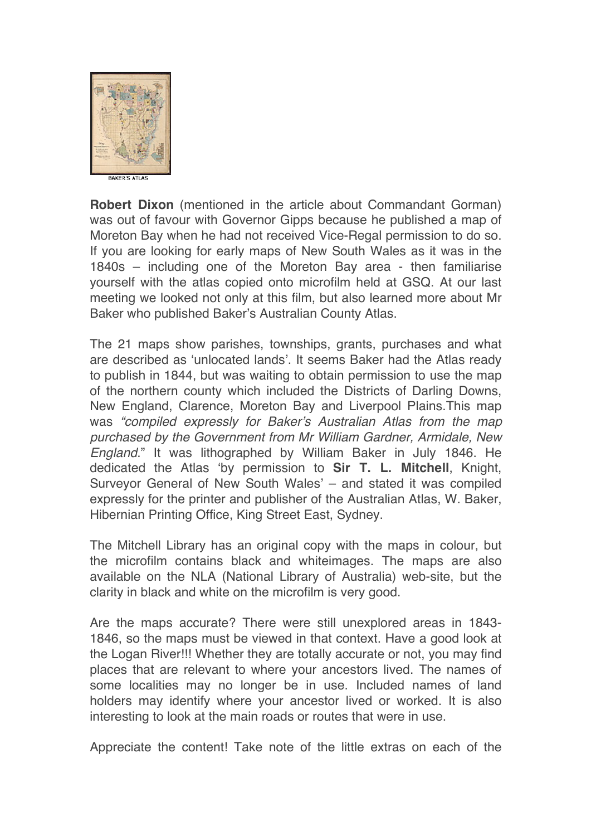

**Robert Dixon** (mentioned in the article about Commandant Gorman) was out of favour with Governor Gipps because he published a map of Moreton Bay when he had not received Vice-Regal permission to do so. If you are looking for early maps of New South Wales as it was in the 1840s – including one of the Moreton Bay area - then familiarise yourself with the atlas copied onto microfilm held at GSQ. At our last meeting we looked not only at this film, but also learned more about Mr Baker who published Baker's Australian County Atlas.

The 21 maps show parishes, townships, grants, purchases and what are described as 'unlocated lands'. It seems Baker had the Atlas ready to publish in 1844, but was waiting to obtain permission to use the map of the northern county which included the Districts of Darling Downs, New England, Clarence, Moreton Bay and Liverpool Plains.This map was *"compiled expressly for Baker's Australian Atlas from the map purchased by the Government from Mr William Gardner, Armidale, New England*." It was lithographed by William Baker in July 1846. He dedicated the Atlas 'by permission to **Sir T. L. Mitchell**, Knight, Surveyor General of New South Wales' – and stated it was compiled expressly for the printer and publisher of the Australian Atlas, W. Baker, Hibernian Printing Office, King Street East, Sydney.

The Mitchell Library has an original copy with the maps in colour, but the microfilm contains black and whiteimages. The maps are also available on the NLA (National Library of Australia) web-site, but the clarity in black and white on the microfilm is very good.

Are the maps accurate? There were still unexplored areas in 1843- 1846, so the maps must be viewed in that context. Have a good look at the Logan River!!! Whether they are totally accurate or not, you may find places that are relevant to where your ancestors lived. The names of some localities may no longer be in use. Included names of land holders may identify where your ancestor lived or worked. It is also interesting to look at the main roads or routes that were in use.

Appreciate the content! Take note of the little extras on each of the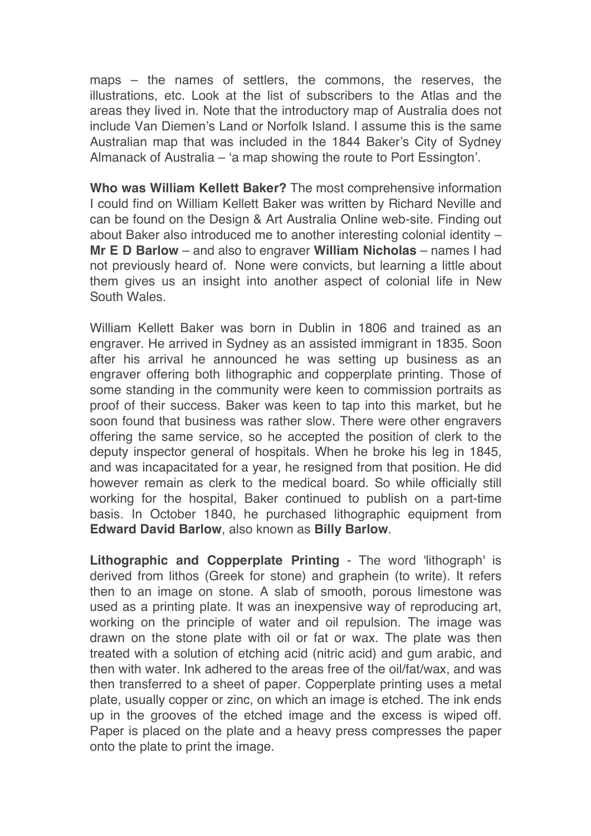maps – the names of settlers, the commons, the reserves, the illustrations, etc. Look at the list of subscribers to the Atlas and the areas they lived in. Note that the introductory map of Australia does not include Van Diemen's Land or Norfolk Island. I assume this is the same Australian map that was included in the 1844 Baker's City of Sydney Almanack of Australia – 'a map showing the route to Port Essington'.

**Who was William Kellett Baker?** The most comprehensive information I could find on William Kellett Baker was written by Richard Neville and can be found on the Design & Art Australia Online web-site. Finding out about Baker also introduced me to another interesting colonial identity – **Mr E D Barlow** – and also to engraver **William Nicholas** – names I had not previously heard of. None were convicts, but learning a little about them gives us an insight into another aspect of colonial life in New South Wales.

William Kellett Baker was born in Dublin in 1806 and trained as an engraver. He arrived in Sydney as an assisted immigrant in 1835. Soon after his arrival he announced he was setting up business as an engraver offering both lithographic and copperplate printing. Those of some standing in the community were keen to commission portraits as proof of their success. Baker was keen to tap into this market, but he soon found that business was rather slow. There were other engravers offering the same service, so he accepted the position of clerk to the deputy inspector general of hospitals. When he broke his leg in 1845, and was incapacitated for a year, he resigned from that position. He did however remain as clerk to the medical board. So while officially still working for the hospital, Baker continued to publish on a part-time basis. In October 1840, he purchased lithographic equipment from **Edward David Barlow**, also known as **Billy Barlow**.

**Lithographic and Copperplate Printing** - The word 'lithograph' is derived from lithos (Greek for stone) and graphein (to write). It refers then to an image on stone. A slab of smooth, porous limestone was used as a printing plate. It was an inexpensive way of reproducing art, working on the principle of water and oil repulsion. The image was drawn on the stone plate with oil or fat or wax. The plate was then treated with a solution of etching acid (nitric acid) and gum arabic, and then with water. Ink adhered to the areas free of the oil/fat/wax, and was then transferred to a sheet of paper. Copperplate printing uses a metal plate, usually copper or zinc, on which an image is etched. The ink ends up in the grooves of the etched image and the excess is wiped off. Paper is placed on the plate and a heavy press compresses the paper onto the plate to print the image.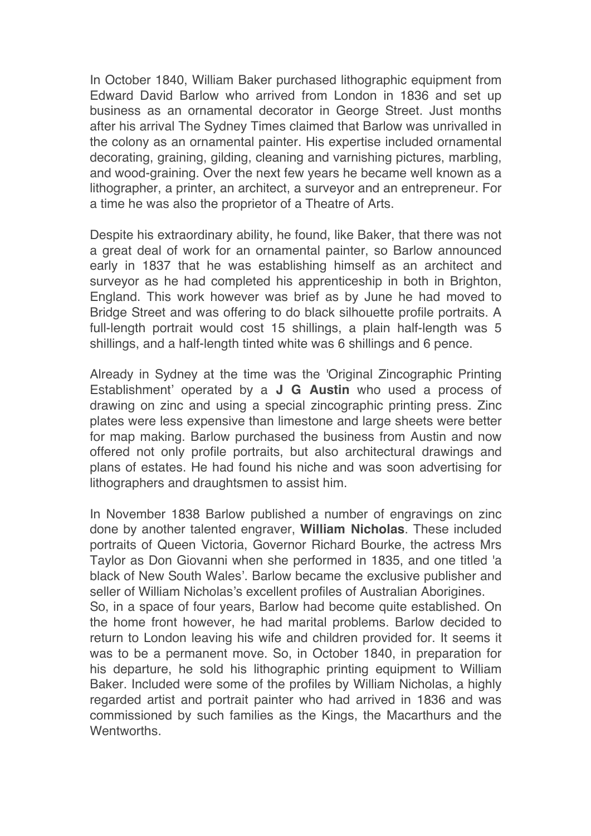In October 1840, William Baker purchased lithographic equipment from Edward David Barlow who arrived from London in 1836 and set up business as an ornamental decorator in George Street. Just months after his arrival The Sydney Times claimed that Barlow was unrivalled in the colony as an ornamental painter. His expertise included ornamental decorating, graining, gilding, cleaning and varnishing pictures, marbling, and wood-graining. Over the next few years he became well known as a lithographer, a printer, an architect, a surveyor and an entrepreneur. For a time he was also the proprietor of a Theatre of Arts.

Despite his extraordinary ability, he found, like Baker, that there was not a great deal of work for an ornamental painter, so Barlow announced early in 1837 that he was establishing himself as an architect and surveyor as he had completed his apprenticeship in both in Brighton, England. This work however was brief as by June he had moved to Bridge Street and was offering to do black silhouette profile portraits. A full-length portrait would cost 15 shillings, a plain half-length was 5 shillings, and a half-length tinted white was 6 shillings and 6 pence.

Already in Sydney at the time was the 'Original Zincographic Printing Establishment' operated by a **J G Austin** who used a process of drawing on zinc and using a special zincographic printing press. Zinc plates were less expensive than limestone and large sheets were better for map making. Barlow purchased the business from Austin and now offered not only profile portraits, but also architectural drawings and plans of estates. He had found his niche and was soon advertising for lithographers and draughtsmen to assist him.

In November 1838 Barlow published a number of engravings on zinc done by another talented engraver, **William Nicholas**. These included portraits of Queen Victoria, Governor Richard Bourke, the actress Mrs Taylor as Don Giovanni when she performed in 1835, and one titled 'a black of New South Wales'. Barlow became the exclusive publisher and seller of William Nicholas's excellent profiles of Australian Aborigines.

So, in a space of four years, Barlow had become quite established. On the home front however, he had marital problems. Barlow decided to return to London leaving his wife and children provided for. It seems it was to be a permanent move. So, in October 1840, in preparation for his departure, he sold his lithographic printing equipment to William Baker. Included were some of the profiles by William Nicholas, a highly regarded artist and portrait painter who had arrived in 1836 and was commissioned by such families as the Kings, the Macarthurs and the **Wentworths**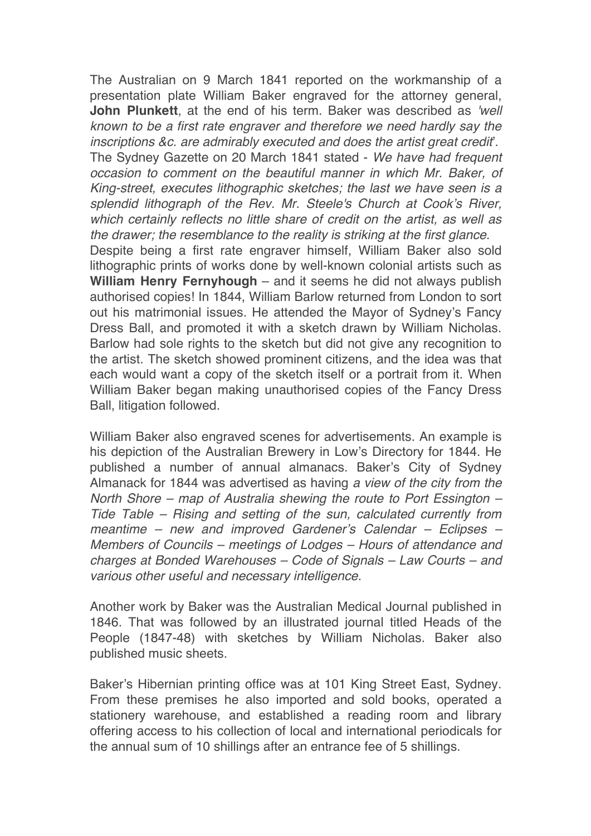The Australian on 9 March 1841 reported on the workmanship of a presentation plate William Baker engraved for the attorney general, **John Plunkett**, at the end of his term. Baker was described as *'well known to be a first rate engraver and therefore we need hardly say the inscriptions &c. are admirably executed and does the artist great credit*'. The Sydney Gazette on 20 March 1841 stated - *We have had frequent occasion to comment on the beautiful manner in which Mr. Baker, of King-street, executes lithographic sketches; the last we have seen is a splendid lithograph of the Rev. Mr. Steele's Church at Cook's River, which certainly reflects no little share of credit on the artist, as well as the drawer; the resemblance to the reality is striking at the first glance*. Despite being a first rate engraver himself, William Baker also sold lithographic prints of works done by well-known colonial artists such as **William Henry Fernyhough** – and it seems he did not always publish authorised copies! In 1844, William Barlow returned from London to sort out his matrimonial issues. He attended the Mayor of Sydney's Fancy Dress Ball, and promoted it with a sketch drawn by William Nicholas. Barlow had sole rights to the sketch but did not give any recognition to the artist. The sketch showed prominent citizens, and the idea was that

each would want a copy of the sketch itself or a portrait from it. When William Baker began making unauthorised copies of the Fancy Dress Ball, litigation followed.

William Baker also engraved scenes for advertisements. An example is his depiction of the Australian Brewery in Low's Directory for 1844. He published a number of annual almanacs. Baker's City of Sydney Almanack for 1844 was advertised as having *a view of the city from the North Shore – map of Australia shewing the route to Port Essington – Tide Table – Rising and setting of the sun, calculated currently from meantime – new and improved Gardener's Calendar – Eclipses – Members of Councils – meetings of Lodges – Hours of attendance and charges at Bonded Warehouses – Code of Signals – Law Courts – and various other useful and necessary intelligence*.

Another work by Baker was the Australian Medical Journal published in 1846. That was followed by an illustrated journal titled Heads of the People (1847-48) with sketches by William Nicholas. Baker also published music sheets.

Baker's Hibernian printing office was at 101 King Street East, Sydney. From these premises he also imported and sold books, operated a stationery warehouse, and established a reading room and library offering access to his collection of local and international periodicals for the annual sum of 10 shillings after an entrance fee of 5 shillings.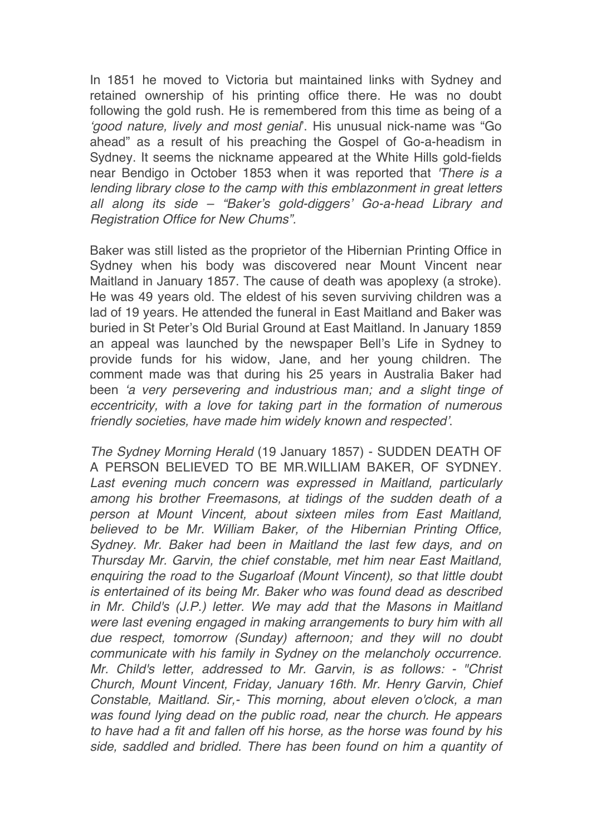In 1851 he moved to Victoria but maintained links with Sydney and retained ownership of his printing office there. He was no doubt following the gold rush. He is remembered from this time as being of a *'good nature, lively and most genial*'. His unusual nick-name was "Go ahead" as a result of his preaching the Gospel of Go-a-headism in Sydney. It seems the nickname appeared at the White Hills gold-fields near Bendigo in October 1853 when it was reported that *'There is a lending library close to the camp with this emblazonment in great letters all along its side – "Baker's gold-diggers' Go-a-head Library and Registration Office for New Chums".*

Baker was still listed as the proprietor of the Hibernian Printing Office in Sydney when his body was discovered near Mount Vincent near Maitland in January 1857. The cause of death was apoplexy (a stroke). He was 49 years old. The eldest of his seven surviving children was a lad of 19 years. He attended the funeral in East Maitland and Baker was buried in St Peter's Old Burial Ground at East Maitland. In January 1859 an appeal was launched by the newspaper Bell's Life in Sydney to provide funds for his widow, Jane, and her young children. The comment made was that during his 25 years in Australia Baker had been *'a very persevering and industrious man; and a slight tinge of eccentricity, with a love for taking part in the formation of numerous friendly societies, have made him widely known and respected'*.

*The Sydney Morning Herald* (19 January 1857) - SUDDEN DEATH OF A PERSON BELIEVED TO BE MR.WILLIAM BAKER, OF SYDNEY. Last evening much concern was expressed in Maitland, particularly *among his brother Freemasons, at tidings of the sudden death of a person at Mount Vincent, about sixteen miles from East Maitland, believed to be Mr. William Baker, of the Hibernian Printing Office, Sydney. Mr. Baker had been in Maitland the last few days, and on Thursday Mr. Garvin, the chief constable, met him near East Maitland, enquiring the road to the Sugarloaf (Mount Vincent), so that little doubt is entertained of its being Mr. Baker who was found dead as described in Mr. Child's (J.P.) letter. We may add that the Masons in Maitland were last evening engaged in making arrangements to bury him with all due respect, tomorrow (Sunday) afternoon; and they will no doubt communicate with his family in Sydney on the melancholy occurrence. Mr. Child's letter, addressed to Mr. Garvin, is as follows: - "Christ Church, Mount Vincent, Friday, January 16th. Mr. Henry Garvin, Chief Constable, Maitland. Sir,- This morning, about eleven o'clock, a man was found lying dead on the public road, near the church. He appears to have had a fit and fallen off his horse, as the horse was found by his side, saddled and bridled. There has been found on him a quantity of*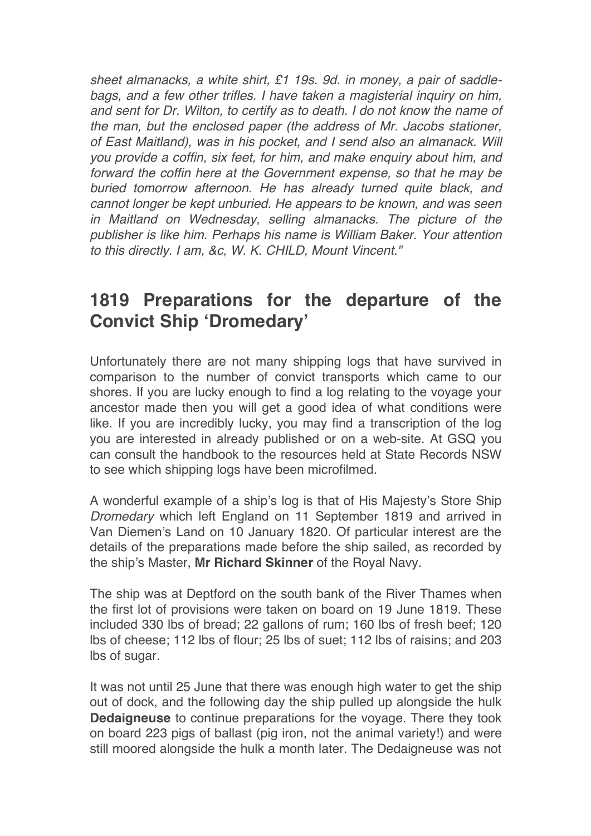*sheet almanacks, a white shirt, £1 19s. 9d. in money, a pair of saddlebags, and a few other trifles. I have taken a magisterial inquiry on him, and sent for Dr. Wilton, to certify as to death. I do not know the name of the man, but the enclosed paper (the address of Mr. Jacobs stationer, of East Maitland), was in his pocket, and I send also an almanack. Will you provide a coffin, six feet, for him, and make enquiry about him, and forward the coffin here at the Government expense, so that he may be buried tomorrow afternoon. He has already turned quite black, and cannot longer be kept unburied. He appears to be known, and was seen in Maitland on Wednesday, selling almanacks. The picture of the publisher is like him. Perhaps his name is William Baker. Your attention to this directly. I am, &c, W. K. CHILD, Mount Vincent."*

## **1819 Preparations for the departure of the Convict Ship 'Dromedary'**

Unfortunately there are not many shipping logs that have survived in comparison to the number of convict transports which came to our shores. If you are lucky enough to find a log relating to the voyage your ancestor made then you will get a good idea of what conditions were like. If you are incredibly lucky, you may find a transcription of the log you are interested in already published or on a web-site. At GSQ you can consult the handbook to the resources held at State Records NSW to see which shipping logs have been microfilmed.

A wonderful example of a ship's log is that of His Majesty's Store Ship *Dromedary* which left England on 11 September 1819 and arrived in Van Diemen's Land on 10 January 1820. Of particular interest are the details of the preparations made before the ship sailed, as recorded by the ship's Master, **Mr Richard Skinner** of the Royal Navy.

The ship was at Deptford on the south bank of the River Thames when the first lot of provisions were taken on board on 19 June 1819. These included 330 lbs of bread; 22 gallons of rum; 160 lbs of fresh beef; 120 lbs of cheese; 112 lbs of flour; 25 lbs of suet; 112 lbs of raisins; and 203 lbs of sugar.

It was not until 25 June that there was enough high water to get the ship out of dock, and the following day the ship pulled up alongside the hulk **Dedaigneuse** to continue preparations for the voyage. There they took on board 223 pigs of ballast (pig iron, not the animal variety!) and were still moored alongside the hulk a month later. The Dedaigneuse was not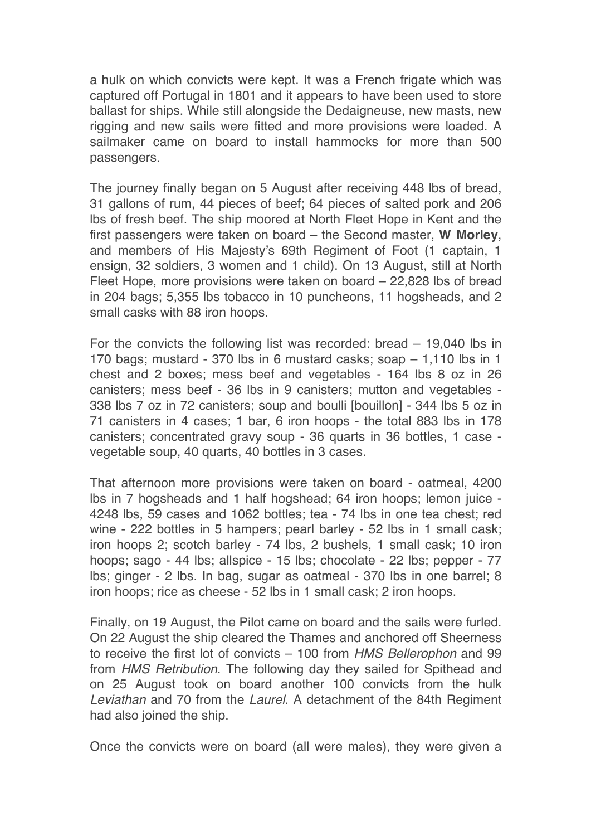a hulk on which convicts were kept. It was a French frigate which was captured off Portugal in 1801 and it appears to have been used to store ballast for ships. While still alongside the Dedaigneuse, new masts, new rigging and new sails were fitted and more provisions were loaded. A sailmaker came on board to install hammocks for more than 500 passengers.

The journey finally began on 5 August after receiving 448 lbs of bread, 31 gallons of rum, 44 pieces of beef; 64 pieces of salted pork and 206 lbs of fresh beef. The ship moored at North Fleet Hope in Kent and the first passengers were taken on board – the Second master, **W Morley**, and members of His Majesty's 69th Regiment of Foot (1 captain, 1 ensign, 32 soldiers, 3 women and 1 child). On 13 August, still at North Fleet Hope, more provisions were taken on board – 22,828 lbs of bread in 204 bags; 5,355 lbs tobacco in 10 puncheons, 11 hogsheads, and 2 small casks with 88 iron hoops.

For the convicts the following list was recorded: bread – 19,040 lbs in 170 bags; mustard - 370 lbs in 6 mustard casks; soap – 1,110 lbs in 1 chest and 2 boxes; mess beef and vegetables - 164 lbs 8 oz in 26 canisters; mess beef - 36 lbs in 9 canisters; mutton and vegetables - 338 lbs 7 oz in 72 canisters; soup and boulli [bouillon] - 344 lbs 5 oz in 71 canisters in 4 cases; 1 bar, 6 iron hoops - the total 883 lbs in 178 canisters; concentrated gravy soup - 36 quarts in 36 bottles, 1 case vegetable soup, 40 quarts, 40 bottles in 3 cases.

That afternoon more provisions were taken on board - oatmeal, 4200 lbs in 7 hogsheads and 1 half hogshead; 64 iron hoops; lemon juice - 4248 lbs, 59 cases and 1062 bottles; tea - 74 lbs in one tea chest; red wine - 222 bottles in 5 hampers; pearl barley - 52 lbs in 1 small cask; iron hoops 2; scotch barley - 74 lbs, 2 bushels, 1 small cask; 10 iron hoops; sago - 44 lbs; allspice - 15 lbs; chocolate - 22 lbs; pepper - 77 lbs; ginger - 2 lbs. In bag, sugar as oatmeal - 370 lbs in one barrel; 8 iron hoops; rice as cheese - 52 lbs in 1 small cask; 2 iron hoops.

Finally, on 19 August, the Pilot came on board and the sails were furled. On 22 August the ship cleared the Thames and anchored off Sheerness to receive the first lot of convicts – 100 from *HMS Bellerophon* and 99 from *HMS Retribution*. The following day they sailed for Spithead and on 25 August took on board another 100 convicts from the hulk *Leviathan* and 70 from the *Laurel*. A detachment of the 84th Regiment had also joined the ship.

Once the convicts were on board (all were males), they were given a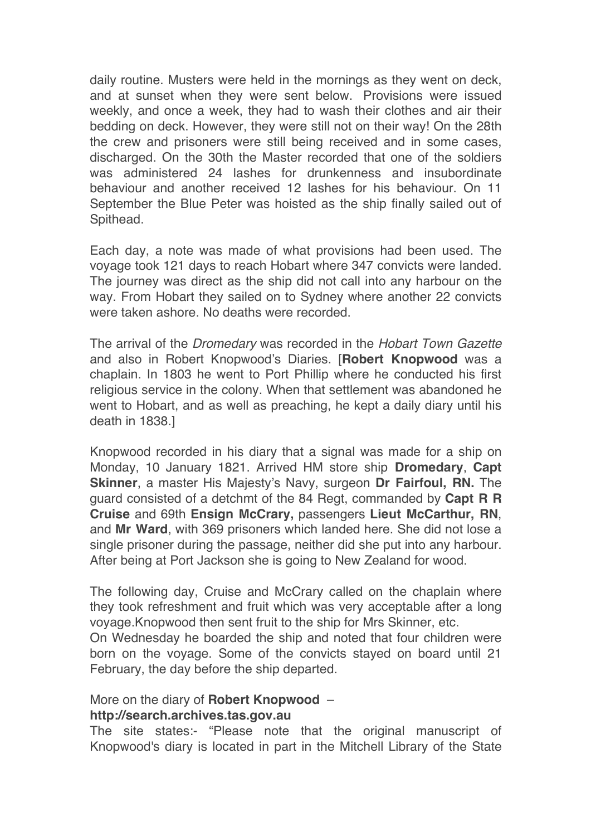daily routine. Musters were held in the mornings as they went on deck, and at sunset when they were sent below. Provisions were issued weekly, and once a week, they had to wash their clothes and air their bedding on deck. However, they were still not on their way! On the 28th the crew and prisoners were still being received and in some cases, discharged. On the 30th the Master recorded that one of the soldiers was administered 24 lashes for drunkenness and insubordinate behaviour and another received 12 lashes for his behaviour. On 11 September the Blue Peter was hoisted as the ship finally sailed out of Spithead.

Each day, a note was made of what provisions had been used. The voyage took 121 days to reach Hobart where 347 convicts were landed. The journey was direct as the ship did not call into any harbour on the way. From Hobart they sailed on to Sydney where another 22 convicts were taken ashore. No deaths were recorded

The arrival of the *Dromedary* was recorded in the *Hobart Town Gazette*  and also in Robert Knopwood's Diaries. [**Robert Knopwood** was a chaplain. In 1803 he went to Port Phillip where he conducted his first religious service in the colony. When that settlement was abandoned he went to Hobart, and as well as preaching, he kept a daily diary until his death in 1838.]

Knopwood recorded in his diary that a signal was made for a ship on Monday, 10 January 1821. Arrived HM store ship **Dromedary**, **Capt Skinner**, a master His Majesty's Navy, surgeon **Dr Fairfoul, RN.** The guard consisted of a detchmt of the 84 Regt, commanded by **Capt R R Cruise** and 69th **Ensign McCrary,** passengers **Lieut McCarthur, RN**, and **Mr Ward**, with 369 prisoners which landed here. She did not lose a single prisoner during the passage, neither did she put into any harbour. After being at Port Jackson she is going to New Zealand for wood.

The following day, Cruise and McCrary called on the chaplain where they took refreshment and fruit which was very acceptable after a long voyage.Knopwood then sent fruit to the ship for Mrs Skinner, etc.

On Wednesday he boarded the ship and noted that four children were born on the voyage. Some of the convicts stayed on board until 21 February, the day before the ship departed.

#### More on the diary of **Robert Knopwood** – **http://search.archives.tas.gov.au**

The site states:- "Please note that the original manuscript of Knopwood's diary is located in part in the Mitchell Library of the State